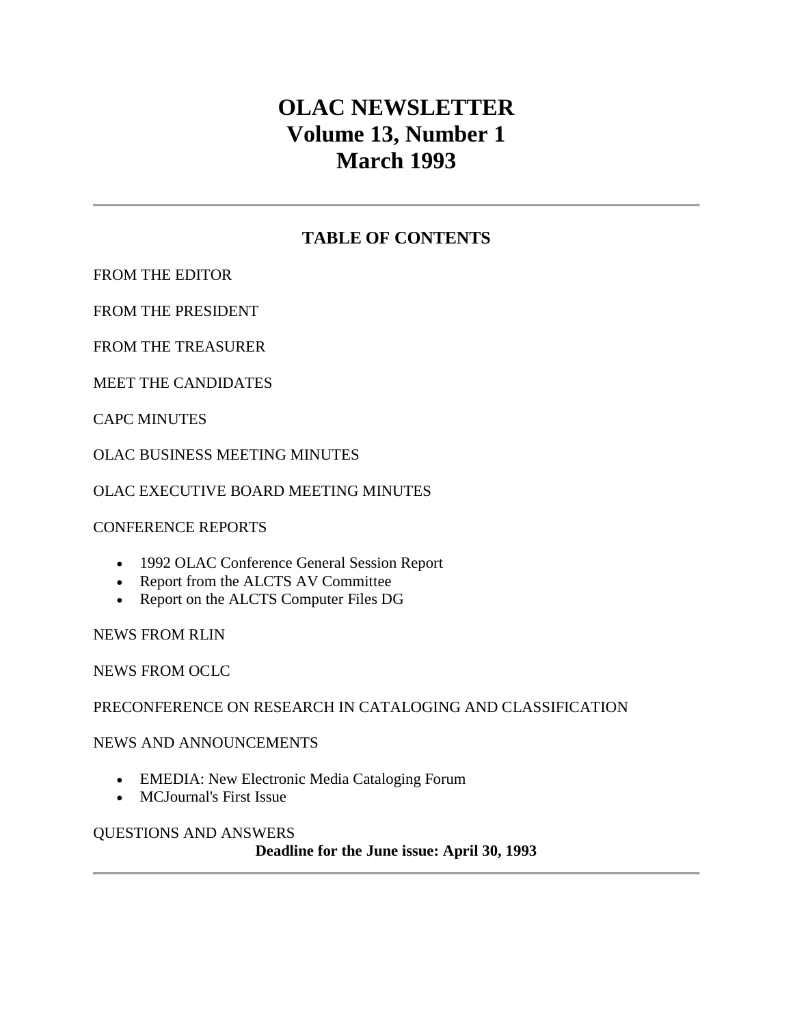# **OLAC NEWSLETTER Volume 13, Number 1 March 1993**

# **TABLE OF CONTENTS**

[FROM THE EDITOR](http://ublib.buffalo.edu/libraries/units/cts/olac/newsletters/march93.html#editor)

[FROM THE PRESIDENT](http://ublib.buffalo.edu/libraries/units/cts/olac/newsletters/march93.html#president)

[FROM THE TREASURER](http://ublib.buffalo.edu/libraries/units/cts/olac/newsletters/march93.html#treasurer)

[MEET THE CANDIDATES](http://ublib.buffalo.edu/libraries/units/cts/olac/newsletters/march93.html#candidates)

[CAPC MINUTES](http://ublib.buffalo.edu/libraries/units/cts/olac/newsletters/march93.html#capc)

[OLAC BUSINESS MEETING MINUTES](http://ublib.buffalo.edu/libraries/units/cts/olac/newsletters/march93.html#business)

[OLAC EXECUTIVE BOARD MEETING MINUTES](http://ublib.buffalo.edu/libraries/units/cts/olac/newsletters/march93.html#exec)

[CONFERENCE REPORTS](http://ublib.buffalo.edu/libraries/units/cts/olac/newsletters/march93.html#reports)

- [1992 OLAC Conference General Session Report](http://ublib.buffalo.edu/libraries/units/cts/olac/newsletters/march93.html#1992)
- [Report from the ALCTS AV Committee](http://ublib.buffalo.edu/libraries/units/cts/olac/newsletters/march93.html#av)
- [Report on the ALCTS Computer Files DG](http://ublib.buffalo.edu/libraries/units/cts/olac/newsletters/march93.html#computer)

[NEWS FROM RLIN](http://ublib.buffalo.edu/libraries/units/cts/olac/newsletters/march93.html#rlin)

[NEWS FROM OCLC](http://ublib.buffalo.edu/libraries/units/cts/olac/newsletters/march93.html#oclc)

[PRECONFERENCE ON RESEARCH IN CATALOGING AND CLASSIFICATION](http://ublib.buffalo.edu/libraries/units/cts/olac/newsletters/march93.html#preconf)

[NEWS AND ANNOUNCEMENTS](http://ublib.buffalo.edu/libraries/units/cts/olac/newsletters/march93.html#news) 

- [EMEDIA: New Electronic Media Cataloging Forum](http://ublib.buffalo.edu/libraries/units/cts/olac/newsletters/march93.html#emedia)
- [MCJournal's First Issue](http://ublib.buffalo.edu/libraries/units/cts/olac/newsletters/march93.html#mcjournal)

[QUESTIONS AND ANSWERS](http://ublib.buffalo.edu/libraries/units/cts/olac/newsletters/march93.html#questions)

**Deadline for the [June issue:](http://ublib.buffalo.edu/libraries/units/cts/olac/newsletters/june93.html) April 30, 1993**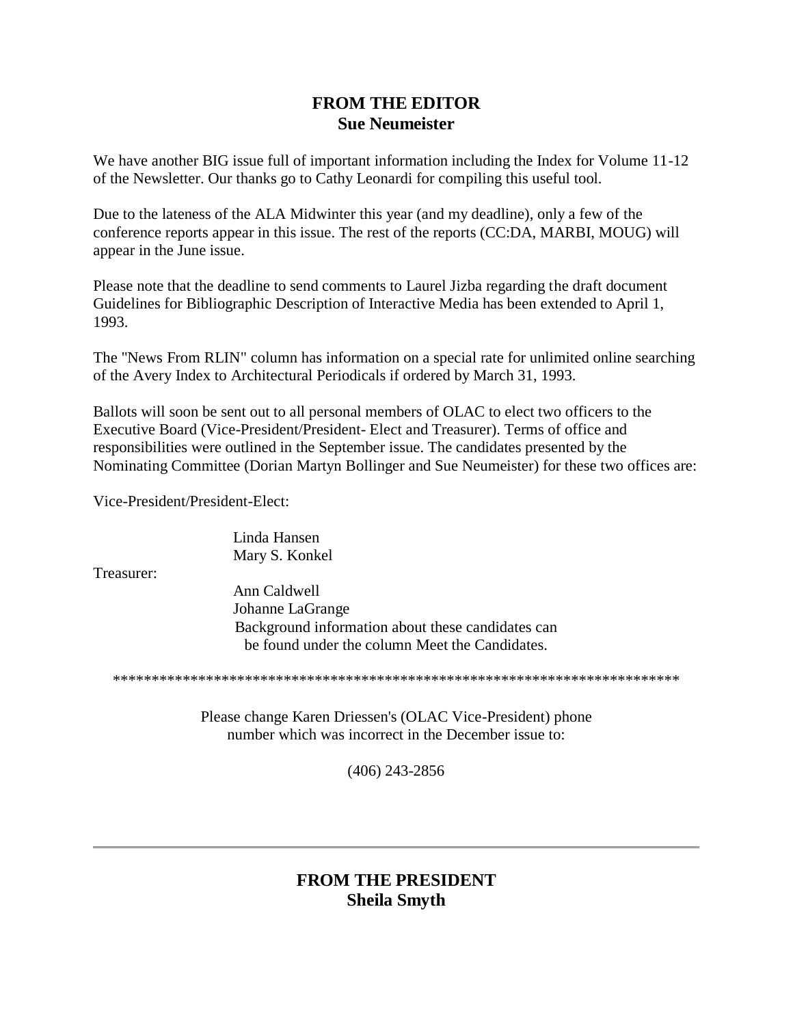### **FROM THE EDITOR Sue Neumeister**

We have another BIG issue full of important information including the Index for Volume 11-12 of the Newsletter. Our thanks go to Cathy Leonardi for compiling this useful tool.

Due to the lateness of the ALA Midwinter this year (and my deadline), only a few of the [conference reports](http://ublib.buffalo.edu/libraries/units/cts/olac/newsletters/march93.html#reports) appear in this issue. The rest of the reports (CC:DA, MARBI, MOUG) will appear in the [June issue.](http://ublib.buffalo.edu/libraries/units/cts/olac/newsletters/june93.html#reports)

Please note that the deadline to send comments to Laurel Jizba regarding the draft document Guidelines for Bibliographic Description of Interactive Media has been extended to April 1, 1993.

The ["News From RLIN"](http://ublib.buffalo.edu/libraries/units/cts/olac/newsletters/march93.html#rlin) column has information on a special rate for unlimited online searching of the Avery Index to Architectural Periodicals if ordered by March 31, 1993.

Ballots will soon be sent out to all personal members of OLAC to elect two officers to the Executive Board (Vice-President/President- Elect and Treasurer). Terms of office and responsibilities were outlined in the September issue. The candidates presented by the Nominating Committee (Dorian Martyn Bollinger and Sue Neumeister) for these two offices are:

Vice-President/President-Elect:

Linda Hansen Mary S. Konkel

Treasurer:

Ann Caldwell Johanne LaGrange Background information about these candidates can be found under the column [Meet the Candidates.](http://ublib.buffalo.edu/libraries/units/cts/olac/newsletters/march93.html#candidates) 

\*\*\*\*\*\*\*\*\*\*\*\*\*\*\*\*\*\*\*\*\*\*\*\*\*\*\*\*\*\*\*\*\*\*\*\*\*\*\*\*\*\*\*\*\*\*\*\*\*\*\*\*\*\*\*\*\*\*\*\*\*\*\*\*\*\*\*\*\*\*\*\*\*

Please change Karen Driessen's (OLAC Vice-President) phone number which was incorrect in the December issue to:

(406) 243-2856

# **FROM THE PRESIDENT Sheila Smyth**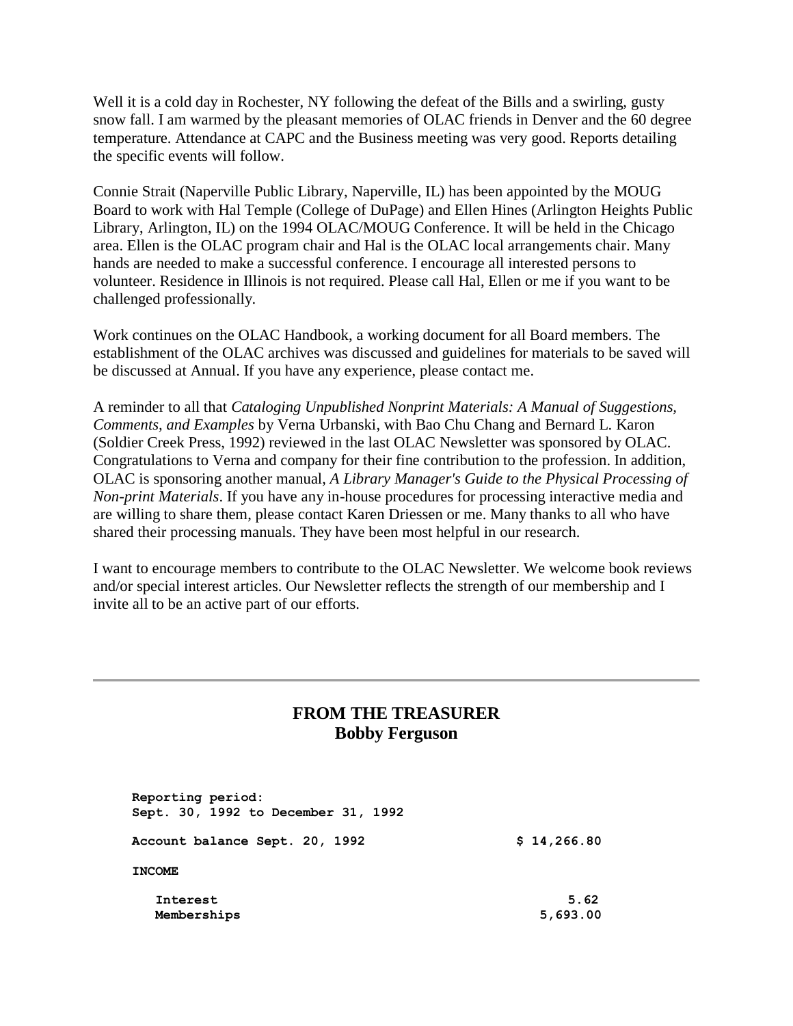Well it is a cold day in Rochester, NY following the defeat of the Bills and a swirling, gusty snow fall. I am warmed by the pleasant memories of OLAC friends in Denver and the 60 degree temperature. Attendance at CAPC and the Business meeting was very good. Reports detailing the specific events will follow.

Connie Strait (Naperville Public Library, Naperville, IL) has been appointed by the MOUG Board to work with Hal Temple (College of DuPage) and Ellen Hines (Arlington Heights Public Library, Arlington, IL) on the 1994 OLAC/MOUG Conference. It will be held in the Chicago area. Ellen is the OLAC program chair and Hal is the OLAC local arrangements chair. Many hands are needed to make a successful conference. I encourage all interested persons to volunteer. Residence in Illinois is not required. Please call Hal, Ellen or me if you want to be challenged professionally.

Work continues on the OLAC Handbook, a working document for all Board members. The establishment of the OLAC archives was discussed and guidelines for materials to be saved will be discussed at Annual. If you have any experience, please contact me.

A reminder to all that *Cataloging Unpublished Nonprint Materials: A Manual of Suggestions, Comments, and Examples* by Verna Urbanski, with Bao Chu Chang and Bernard L. Karon (Soldier Creek Press, 1992) reviewed in the last OLAC Newsletter was sponsored by OLAC. Congratulations to Verna and company for their fine contribution to the profession. In addition, OLAC is sponsoring another manual, *A Library Manager's Guide to the Physical Processing of Non-print Materials*. If you have any in-house procedures for processing interactive media and are willing to share them, please contact Karen Driessen or me. Many thanks to all who have shared their processing manuals. They have been most helpful in our research.

I want to encourage members to contribute to the OLAC Newsletter. We welcome book reviews and/or special interest articles. Our Newsletter reflects the strength of our membership and I invite all to be an active part of our efforts.

### **FROM THE TREASURER Bobby Ferguson**

 **Reporting period: Sept. 30, 1992 to December 31, 1992 Account balance Sept. 20, 1992 \$ 14,266.80 INCOME Interest 5.62 Memberships 5,693.00**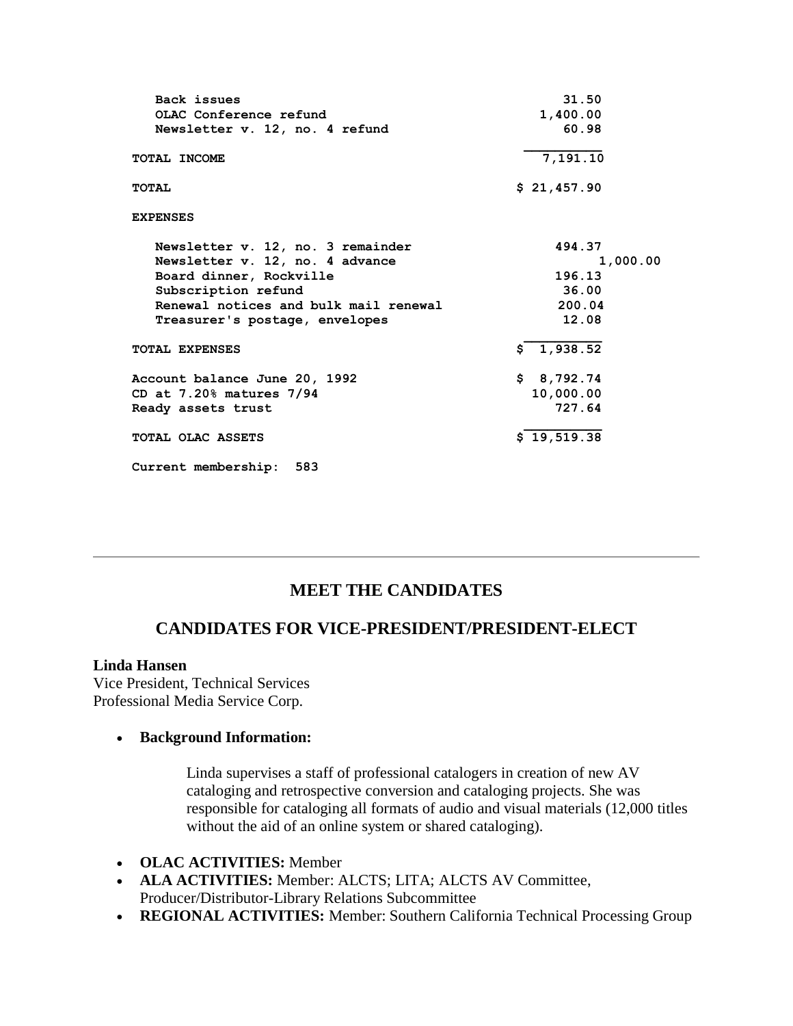| Back issues                           | 31.50       |
|---------------------------------------|-------------|
| OLAC Conference refund                | 1,400.00    |
| Newsletter v. 12, no. 4 refund        | 60.98       |
| TOTAL INCOME                          | 7, 191.10   |
| TOTAL                                 | \$21,457.90 |
| <b>EXPENSES</b>                       |             |
| Newsletter v. 12, no. 3 remainder     | 494.37      |
| Newsletter v. 12, no. 4 advance       | 1,000.00    |
| Board dinner, Rockville               | 196.13      |
| Subscription refund                   | 36.00       |
| Renewal notices and bulk mail renewal | 200.04      |
| Treasurer's postage, envelopes        | 12.08       |
| <b>TOTAL EXPENSES</b>                 | \$1,938.52  |
| Account balance June 20, 1992         | \$8,792.74  |
| CD at $7.20\%$ matures $7/94$         | 10,000.00   |
| Ready assets trust                    | 727.64      |
| TOTAL OLAC ASSETS                     | \$19,519.38 |
| Current membership:<br>583            |             |

### **MEET THE CANDIDATES**

#### **CANDIDATES FOR VICE-PRESIDENT/PRESIDENT-ELECT**

#### **Linda Hansen**

Vice President, Technical Services Professional Media Service Corp.

#### **Background Information:**

Linda supervises a staff of professional catalogers in creation of new AV cataloging and retrospective conversion and cataloging projects. She was responsible for cataloging all formats of audio and visual materials (12,000 titles without the aid of an online system or shared cataloging).

- **OLAC ACTIVITIES:** Member
- **ALA ACTIVITIES:** Member: ALCTS; LITA; ALCTS AV Committee, Producer/Distributor-Library Relations Subcommittee
- **REGIONAL ACTIVITIES:** Member: Southern California Technical Processing Group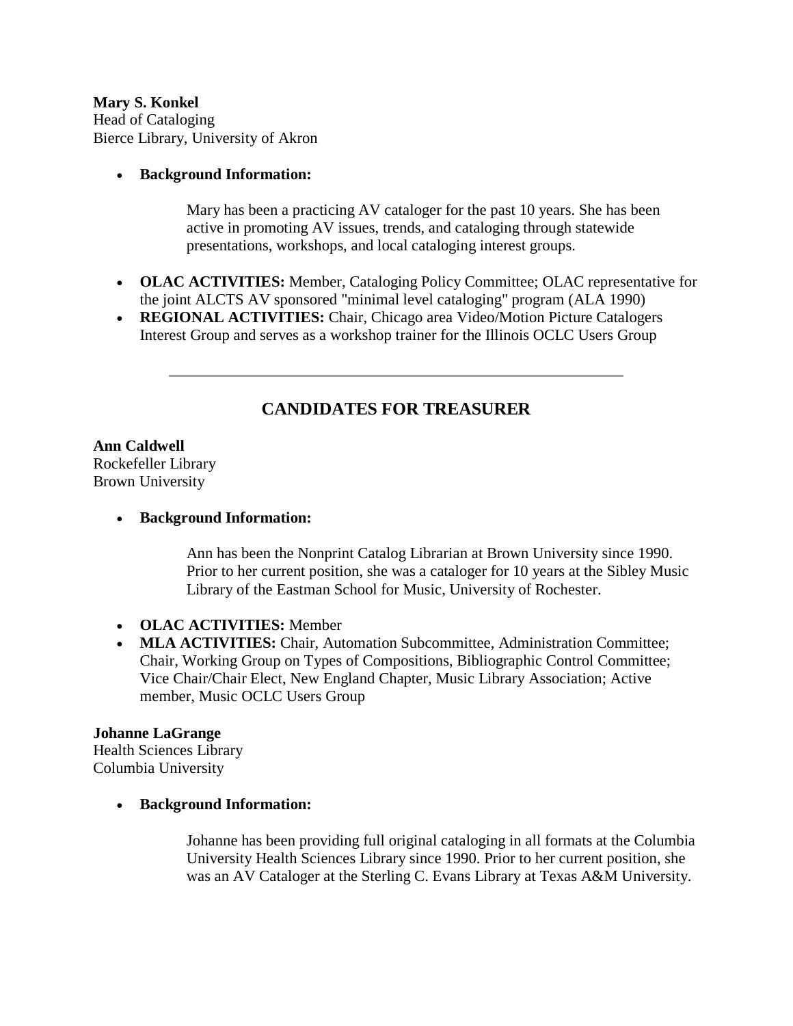**Mary S. Konkel** Head of Cataloging Bierce Library, University of Akron

#### **Background Information:**

Mary has been a practicing AV cataloger for the past 10 years. She has been active in promoting AV issues, trends, and cataloging through statewide presentations, workshops, and local cataloging interest groups.

- **OLAC ACTIVITIES:** Member, Cataloging Policy Committee; OLAC representative for the joint ALCTS AV sponsored "minimal level cataloging" program (ALA 1990)
- **REGIONAL ACTIVITIES:** Chair, Chicago area Video/Motion Picture Catalogers Interest Group and serves as a workshop trainer for the Illinois OCLC Users Group

# **CANDIDATES FOR TREASURER**

## **Ann Caldwell**

Rockefeller Library Brown University

#### **Background Information:**

Ann has been the Nonprint Catalog Librarian at Brown University since 1990. Prior to her current position, she was a cataloger for 10 years at the Sibley Music Library of the Eastman School for Music, University of Rochester.

- **OLAC ACTIVITIES:** Member
- **MLA ACTIVITIES:** Chair, Automation Subcommittee, Administration Committee; Chair, Working Group on Types of Compositions, Bibliographic Control Committee; Vice Chair/Chair Elect, New England Chapter, Music Library Association; Active member, Music OCLC Users Group

#### **Johanne LaGrange**

Health Sciences Library Columbia University

#### **Background Information:**

Johanne has been providing full original cataloging in all formats at the Columbia University Health Sciences Library since 1990. Prior to her current position, she was an AV Cataloger at the Sterling C. Evans Library at Texas A&M University.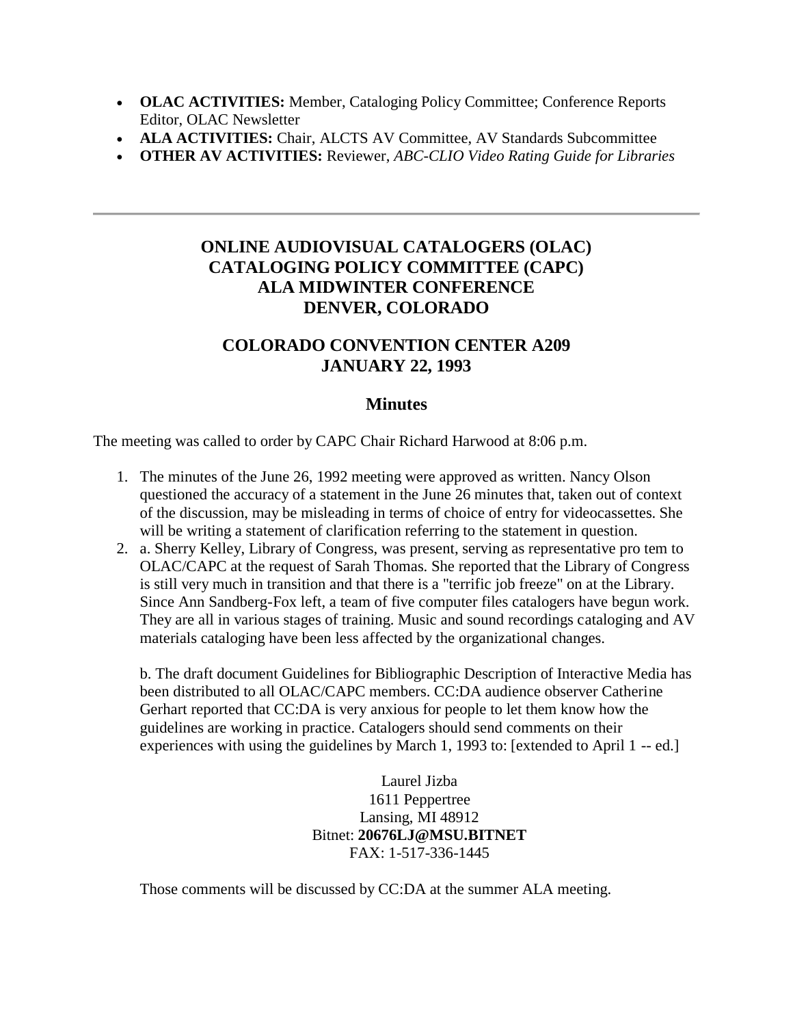- **OLAC ACTIVITIES:** Member, Cataloging Policy Committee; Conference Reports Editor, OLAC Newsletter
- **ALA ACTIVITIES:** Chair, ALCTS AV Committee, AV Standards Subcommittee
- **OTHER AV ACTIVITIES:** Reviewer, *ABC-CLIO Video Rating Guide for Libraries*

# **ONLINE AUDIOVISUAL CATALOGERS (OLAC) CATALOGING POLICY COMMITTEE (CAPC) ALA MIDWINTER CONFERENCE DENVER, COLORADO**

## **COLORADO CONVENTION CENTER A209 JANUARY 22, 1993**

#### **Minutes**

The meeting was called to order by CAPC Chair Richard Harwood at 8:06 p.m.

- 1. The [minutes](http://ublib.buffalo.edu/libraries/units/cts/olac/newsletters/sept92.html#capc) of the June 26, 1992 meeting were approved as written. Nancy Olson questioned the accuracy of a statement in the June 26 minutes that, taken out of context of the discussion, may be misleading in terms of choice of entry for videocassettes. She will be writing a statement of clarification referring to the statement in question.
- 2. a. Sherry Kelley, Library of Congress, was present, serving as representative pro tem to OLAC/CAPC at the request of Sarah Thomas. She reported that the Library of Congress is still very much in transition and that there is a "terrific job freeze" on at the Library. Since Ann Sandberg-Fox left, a team of five computer files catalogers have begun work. They are all in various stages of training. Music and sound recordings cataloging and AV materials cataloging have been less affected by the organizational changes.

b. The draft document Guidelines for Bibliographic Description of Interactive Media has been distributed to all OLAC/CAPC members. CC:DA audience observer Catherine Gerhart reported that CC:DA is very anxious for people to let them know how the guidelines are working in practice. Catalogers should send comments on their experiences with using the guidelines by March 1, 1993 to: [extended to April 1 -- ed.]

> Laurel Jizba 1611 Peppertree Lansing, MI 48912 Bitnet: **20676LJ@MSU.BITNET** FAX: 1-517-336-1445

Those comments will be discussed by CC:DA at the summer ALA meeting.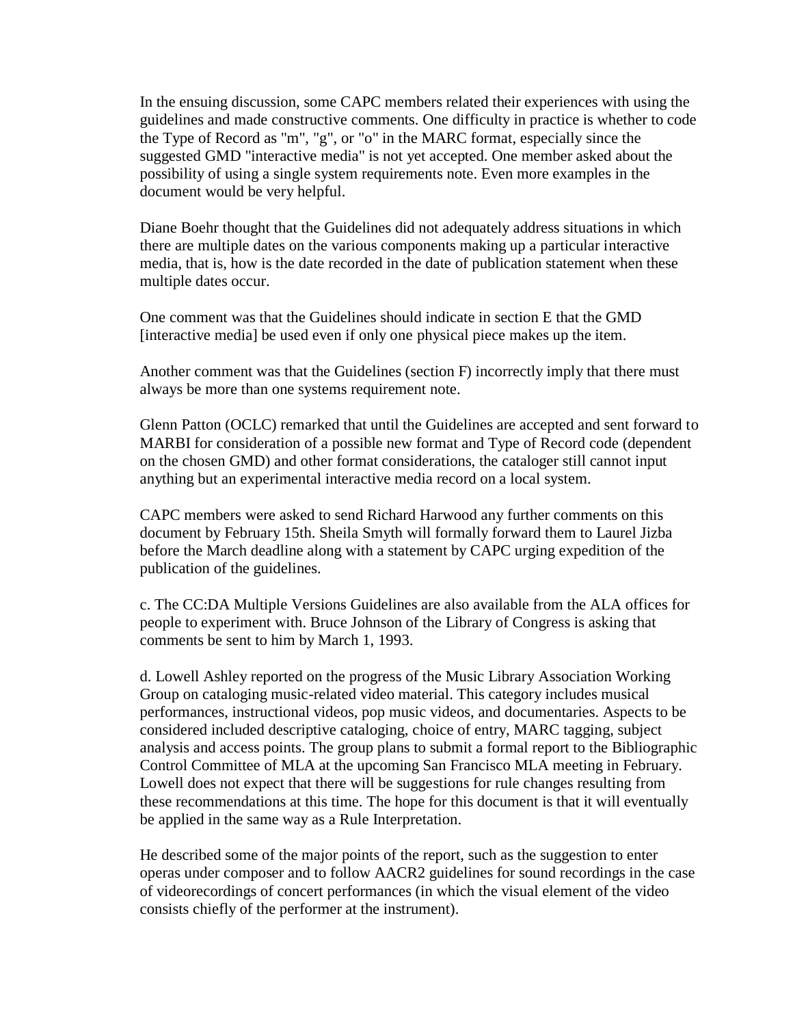In the ensuing discussion, some CAPC members related their experiences with using the guidelines and made constructive comments. One difficulty in practice is whether to code the Type of Record as "m", "g", or "o" in the MARC format, especially since the suggested GMD "interactive media" is not yet accepted. One member asked about the possibility of using a single system requirements note. Even more examples in the document would be very helpful.

Diane Boehr thought that the Guidelines did not adequately address situations in which there are multiple dates on the various components making up a particular interactive media, that is, how is the date recorded in the date of publication statement when these multiple dates occur.

One comment was that the Guidelines should indicate in section E that the GMD [interactive media] be used even if only one physical piece makes up the item.

Another comment was that the Guidelines (section F) incorrectly imply that there must always be more than one systems requirement note.

Glenn Patton (OCLC) remarked that until the Guidelines are accepted and sent forward to MARBI for consideration of a possible new format and Type of Record code (dependent on the chosen GMD) and other format considerations, the cataloger still cannot input anything but an experimental interactive media record on a local system.

CAPC members were asked to send Richard Harwood any further comments on this document by February 15th. Sheila Smyth will formally forward them to Laurel Jizba before the March deadline along with a statement by CAPC urging expedition of the publication of the guidelines.

c. The CC:DA Multiple Versions Guidelines are also available from the ALA offices for people to experiment with. Bruce Johnson of the Library of Congress is asking that comments be sent to him by March 1, 1993.

d. Lowell Ashley reported on the progress of the Music Library Association Working Group on cataloging music-related video material. This category includes musical performances, instructional videos, pop music videos, and documentaries. Aspects to be considered included descriptive cataloging, choice of entry, MARC tagging, subject analysis and access points. The group plans to submit a formal report to the Bibliographic Control Committee of MLA at the upcoming San Francisco MLA meeting in February. Lowell does not expect that there will be suggestions for rule changes resulting from these recommendations at this time. The hope for this document is that it will eventually be applied in the same way as a Rule Interpretation.

He described some of the major points of the report, such as the suggestion to enter operas under composer and to follow AACR2 guidelines for sound recordings in the case of videorecordings of concert performances (in which the visual element of the video consists chiefly of the performer at the instrument).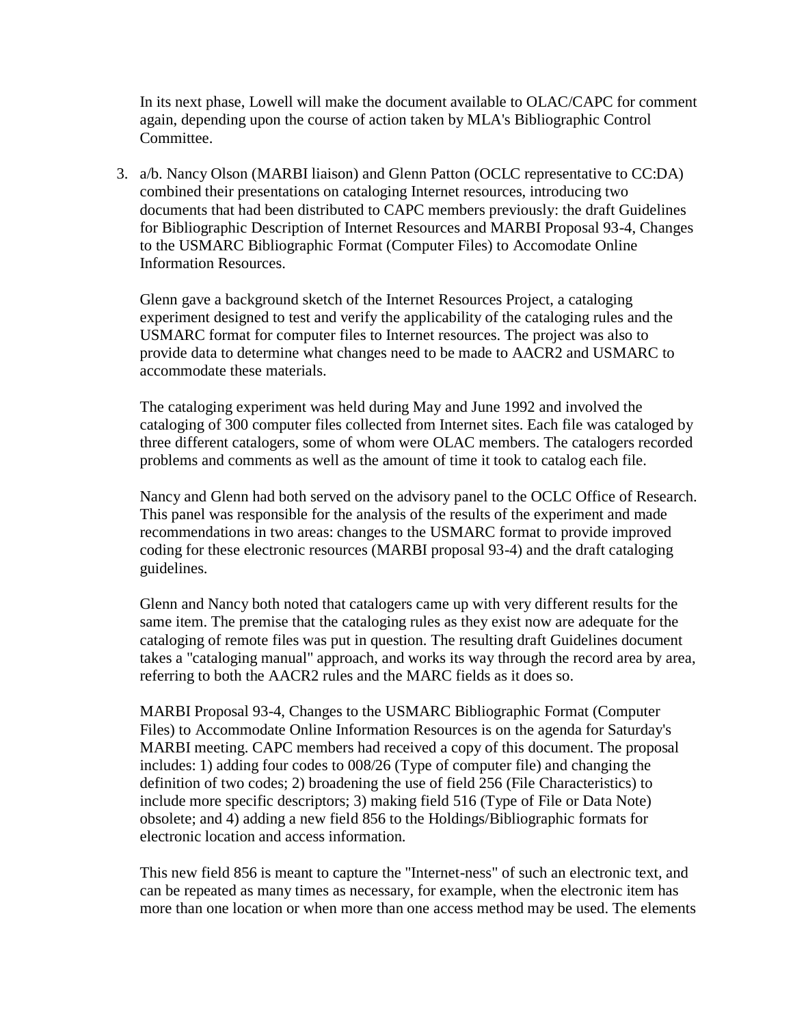In its next phase, Lowell will make the document available to OLAC/CAPC for comment again, depending upon the course of action taken by MLA's Bibliographic Control Committee.

3. a/b. Nancy Olson (MARBI liaison) and Glenn Patton (OCLC representative to CC:DA) combined their presentations on cataloging Internet resources, introducing two documents that had been distributed to CAPC members previously: the draft Guidelines for Bibliographic Description of Internet Resources and MARBI Proposal 93-4, Changes to the USMARC Bibliographic Format (Computer Files) to Accomodate Online Information Resources.

Glenn gave a background sketch of the Internet Resources Project, a cataloging experiment designed to test and verify the applicability of the cataloging rules and the USMARC format for computer files to Internet resources. The project was also to provide data to determine what changes need to be made to AACR2 and USMARC to accommodate these materials.

The cataloging experiment was held during May and June 1992 and involved the cataloging of 300 computer files collected from Internet sites. Each file was cataloged by three different catalogers, some of whom were OLAC members. The catalogers recorded problems and comments as well as the amount of time it took to catalog each file.

Nancy and Glenn had both served on the advisory panel to the OCLC Office of Research. This panel was responsible for the analysis of the results of the experiment and made recommendations in two areas: changes to the USMARC format to provide improved coding for these electronic resources (MARBI proposal 93-4) and the draft cataloging guidelines.

Glenn and Nancy both noted that catalogers came up with very different results for the same item. The premise that the cataloging rules as they exist now are adequate for the cataloging of remote files was put in question. The resulting draft Guidelines document takes a "cataloging manual" approach, and works its way through the record area by area, referring to both the AACR2 rules and the MARC fields as it does so.

MARBI Proposal 93-4, Changes to the USMARC Bibliographic Format (Computer Files) to Accommodate Online Information Resources is on the agenda for Saturday's MARBI meeting. CAPC members had received a copy of this document. The proposal includes: 1) adding four codes to 008/26 (Type of computer file) and changing the definition of two codes; 2) broadening the use of field 256 (File Characteristics) to include more specific descriptors; 3) making field 516 (Type of File or Data Note) obsolete; and 4) adding a new field 856 to the Holdings/Bibliographic formats for electronic location and access information.

This new field 856 is meant to capture the "Internet-ness" of such an electronic text, and can be repeated as many times as necessary, for example, when the electronic item has more than one location or when more than one access method may be used. The elements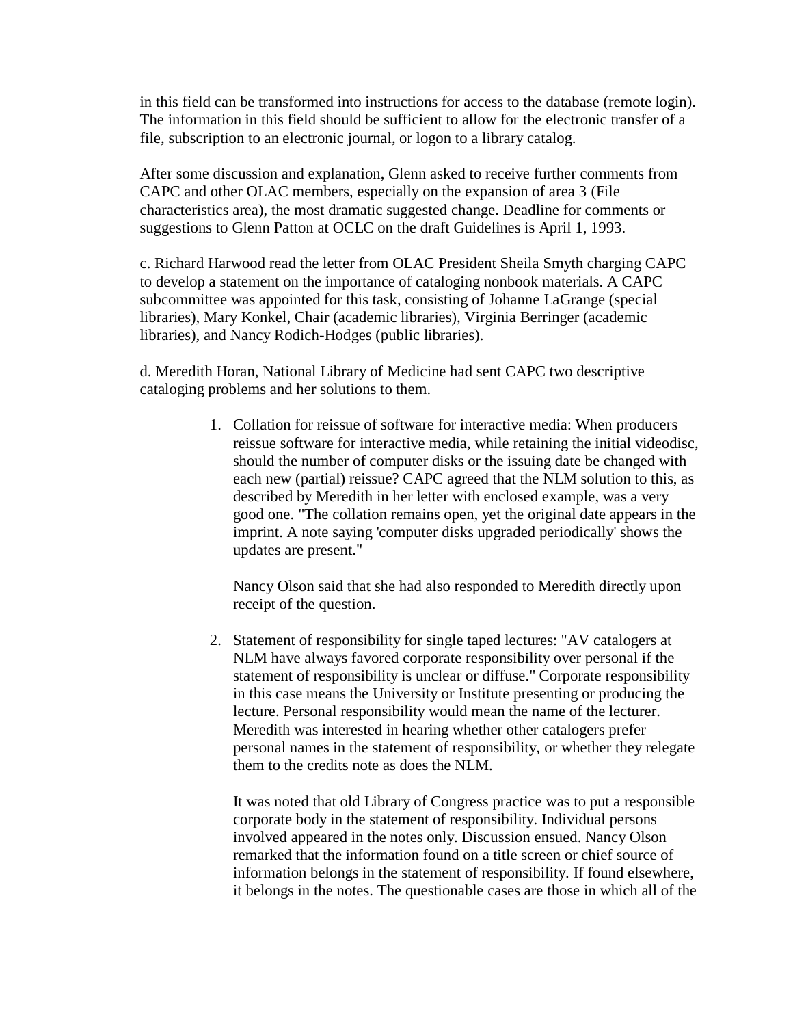in this field can be transformed into instructions for access to the database (remote login). The information in this field should be sufficient to allow for the electronic transfer of a file, subscription to an electronic journal, or logon to a library catalog.

After some discussion and explanation, Glenn asked to receive further comments from CAPC and other OLAC members, especially on the expansion of area 3 (File characteristics area), the most dramatic suggested change. Deadline for comments or suggestions to Glenn Patton at OCLC on the draft Guidelines is April 1, 1993.

c. Richard Harwood read the letter from OLAC President Sheila Smyth charging CAPC to develop a statement on the importance of cataloging nonbook materials. A CAPC subcommittee was appointed for this task, consisting of Johanne LaGrange (special libraries), Mary Konkel, Chair (academic libraries), Virginia Berringer (academic libraries), and Nancy Rodich-Hodges (public libraries).

d. Meredith Horan, National Library of Medicine had sent CAPC two descriptive cataloging problems and her solutions to them.

> 1. Collation for reissue of software for interactive media: When producers reissue software for interactive media, while retaining the initial videodisc, should the number of computer disks or the issuing date be changed with each new (partial) reissue? CAPC agreed that the NLM solution to this, as described by Meredith in her letter with enclosed example, was a very good one. "The collation remains open, yet the original date appears in the imprint. A note saying 'computer disks upgraded periodically' shows the updates are present."

Nancy Olson said that she had also responded to Meredith directly upon receipt of the question.

2. Statement of responsibility for single taped lectures: "AV catalogers at NLM have always favored corporate responsibility over personal if the statement of responsibility is unclear or diffuse." Corporate responsibility in this case means the University or Institute presenting or producing the lecture. Personal responsibility would mean the name of the lecturer. Meredith was interested in hearing whether other catalogers prefer personal names in the statement of responsibility, or whether they relegate them to the credits note as does the NLM.

It was noted that old Library of Congress practice was to put a responsible corporate body in the statement of responsibility. Individual persons involved appeared in the notes only. Discussion ensued. Nancy Olson remarked that the information found on a title screen or chief source of information belongs in the statement of responsibility. If found elsewhere, it belongs in the notes. The questionable cases are those in which all of the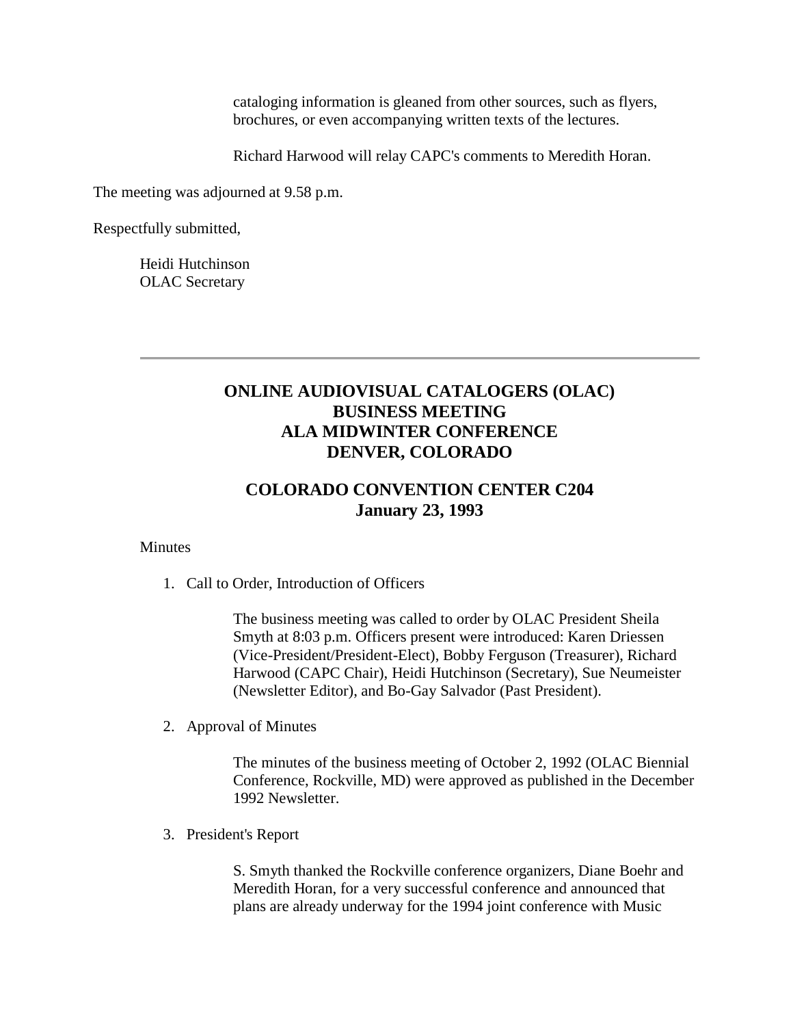cataloging information is gleaned from other sources, such as flyers, brochures, or even accompanying written texts of the lectures.

Richard Harwood will relay CAPC's comments to Meredith Horan.

The meeting was adjourned at 9.58 p.m.

Respectfully submitted,

Heidi Hutchinson OLAC Secretary

# **ONLINE AUDIOVISUAL CATALOGERS (OLAC) BUSINESS MEETING ALA MIDWINTER CONFERENCE DENVER, COLORADO**

# **COLORADO CONVENTION CENTER C204 January 23, 1993**

#### **Minutes**

1. Call to Order, Introduction of Officers

The business meeting was called to order by OLAC President Sheila Smyth at 8:03 p.m. Officers present were introduced: Karen Driessen (Vice-President/President-Elect), Bobby Ferguson (Treasurer), Richard Harwood (CAPC Chair), Heidi Hutchinson (Secretary), Sue Neumeister (Newsletter Editor), and Bo-Gay Salvador (Past President).

2. Approval of Minutes

The [minutes](http://ublib.buffalo.edu/libraries/units/cts/olac/newsletters/dec92.html#olac) of the business meeting of October 2, 1992 (OLAC Biennial Conference, Rockville, MD) were approved as published in the December 1992 Newsletter.

3. President's Report

S. Smyth thanked the Rockville conference organizers, Diane Boehr and Meredith Horan, for a very successful conference and announced that plans are already underway for the 1994 joint conference with Music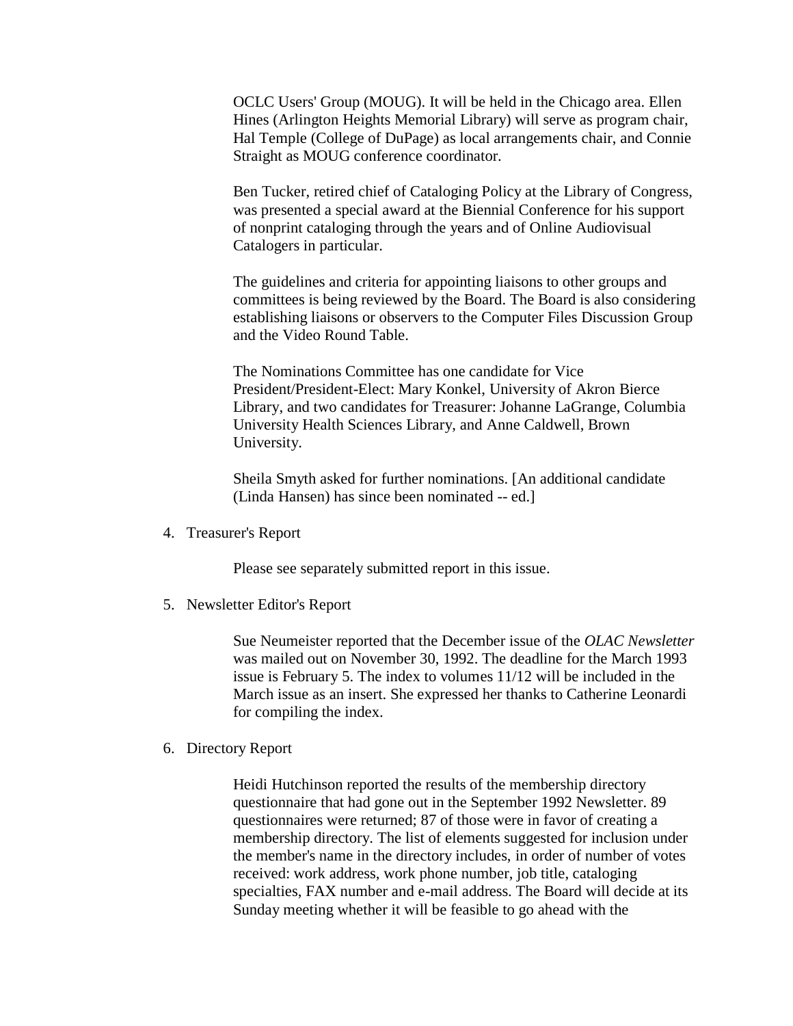OCLC Users' Group (MOUG). It will be held in the Chicago area. Ellen Hines (Arlington Heights Memorial Library) will serve as program chair, Hal Temple (College of DuPage) as local arrangements chair, and Connie Straight as MOUG conference coordinator.

Ben Tucker, retired chief of Cataloging Policy at the Library of Congress, was presented a special award at the Biennial Conference for his support of nonprint cataloging through the years and of Online Audiovisual Catalogers in particular.

The guidelines and criteria for appointing liaisons to other groups and committees is being reviewed by the Board. The Board is also considering establishing liaisons or observers to the Computer Files Discussion Group and the Video Round Table.

The Nominations Committee has one candidate for Vice President/President-Elect: Mary Konkel, University of Akron Bierce Library, and two candidates for Treasurer: Johanne LaGrange, Columbia University Health Sciences Library, and Anne Caldwell, Brown University.

Sheila Smyth asked for further nominations. [An additional candidate (Linda Hansen) has since been nominated -- ed.]

4. [Treasurer's Report](http://ublib.buffalo.edu/libraries/units/cts/olac/newsletters/march93.html#treasurer)

Please see separately submitted report in this issue.

5. Newsletter Editor's Report

Sue Neumeister reported that the [December issue](http://ublib.buffalo.edu/libraries/units/cts/olac/newsletters/dec92.html) of the *OLAC Newsletter* was mailed out on November 30, 1992. The deadline for the March 1993 issue is February 5. The index to volumes 11/12 will be included in the March issue as an insert. She expressed her thanks to Catherine Leonardi for compiling the index.

6. Directory Report

Heidi Hutchinson reported the results of the membership directory questionnaire that had gone out in the September 1992 Newsletter. 89 questionnaires were returned; 87 of those were in favor of creating a membership directory. The list of elements suggested for inclusion under the member's name in the directory includes, in order of number of votes received: work address, work phone number, job title, cataloging specialties, FAX number and e-mail address. The Board will decide at its Sunday meeting whether it will be feasible to go ahead with the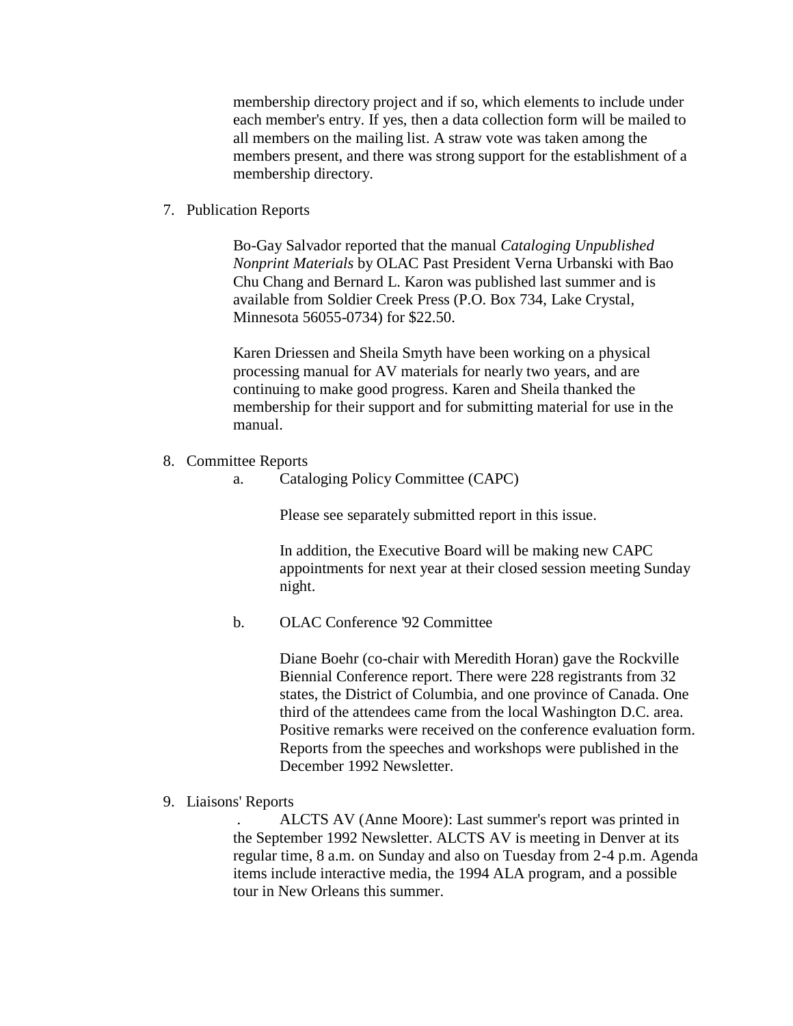membership directory project and if so, which elements to include under each member's entry. If yes, then a data collection form will be mailed to all members on the mailing list. A straw vote was taken among the members present, and there was strong support for the establishment of a membership directory.

7. Publication Reports

Bo-Gay Salvador reported that the manual *Cataloging Unpublished Nonprint Materials* by OLAC Past President Verna Urbanski with Bao Chu Chang and Bernard L. Karon was published last summer and is available from Soldier Creek Press (P.O. Box 734, Lake Crystal, Minnesota 56055-0734) for \$22.50.

Karen Driessen and Sheila Smyth have been working on a physical processing manual for AV materials for nearly two years, and are continuing to make good progress. Karen and Sheila thanked the membership for their support and for submitting material for use in the manual.

- 8. Committee Reports
	- a. [Cataloging Policy Committee \(CAPC\)](http://ublib.buffalo.edu/libraries/units/cts/olac/newsletters/march93.html#capc)

Please see separately submitted report in this issue.

In addition, the Executive Board will be making new CAPC appointments for next year at their closed session meeting Sunday night.

b. OLAC Conference '92 Committee

Diane Boehr (co-chair with Meredith Horan) gave the Rockville Biennial Conference report. There were 228 registrants from 32 states, the District of Columbia, and one province of Canada. One third of the attendees came from the local Washington D.C. area. Positive remarks were received on the conference evaluation form. [Reports](http://ublib.buffalo.edu/libraries/units/cts/olac/newsletters/dec92.html#reports) from the speeches and workshops were published in the December 1992 Newsletter.

9. Liaisons' Reports

. ALCTS AV (Anne Moore): Last summer's report was printed in the September 1992 Newsletter. ALCTS AV is meeting in Denver at its regular time, 8 a.m. on Sunday and also on Tuesday from 2-4 p.m. Agenda items include interactive media, the 1994 ALA program, and a possible tour in New Orleans this summer.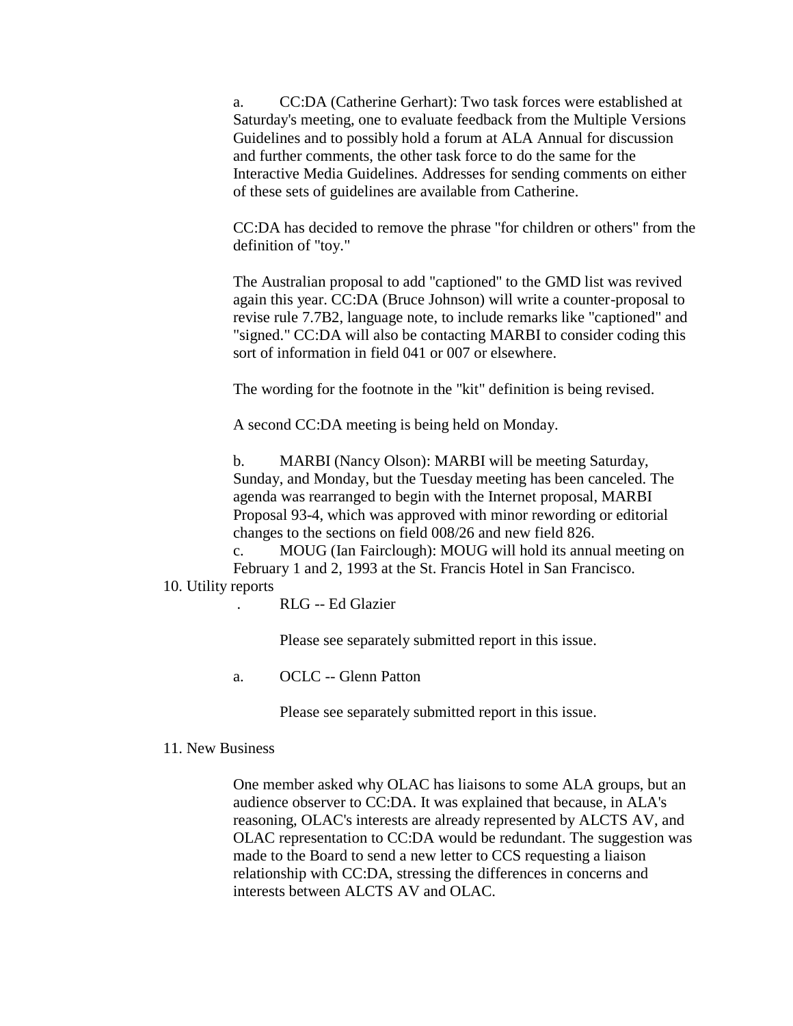a. CC:DA (Catherine Gerhart): Two task forces were established at Saturday's meeting, one to evaluate feedback from the Multiple Versions Guidelines and to possibly hold a forum at ALA Annual for discussion and further comments, the other task force to do the same for the Interactive Media Guidelines. Addresses for sending comments on either of these sets of guidelines are available from Catherine.

CC:DA has decided to remove the phrase "for children or others" from the definition of "toy."

The Australian proposal to add "captioned" to the GMD list was revived again this year. CC:DA (Bruce Johnson) will write a counter-proposal to revise rule 7.7B2, language note, to include remarks like "captioned" and "signed." CC:DA will also be contacting MARBI to consider coding this sort of information in field 041 or 007 or elsewhere.

The wording for the footnote in the "kit" definition is being revised.

A second CC:DA meeting is being held on Monday.

b. MARBI (Nancy Olson): MARBI will be meeting Saturday, Sunday, and Monday, but the Tuesday meeting has been canceled. The agenda was rearranged to begin with the Internet proposal, MARBI Proposal 93-4, which was approved with minor rewording or editorial changes to the sections on field 008/26 and new field 826.

c. MOUG (Ian Fairclough): MOUG will hold its annual meeting on February 1 and 2, 1993 at the St. Francis Hotel in San Francisco.

#### 10. Utility reports

. [RLG](http://ublib.buffalo.edu/libraries/units/cts/olac/newsletters/march93.html#rlin) -- Ed Glazier

Please see separately submitted report in this issue.

a. [OCLC](http://ublib.buffalo.edu/libraries/units/cts/olac/newsletters/march93.html#oclc) -- Glenn Patton

Please see separately submitted report in this issue.

#### 11. New Business

One member asked why OLAC has liaisons to some ALA groups, but an audience observer to CC:DA. It was explained that because, in ALA's reasoning, OLAC's interests are already represented by ALCTS AV, and OLAC representation to CC:DA would be redundant. The suggestion was made to the Board to send a new letter to CCS requesting a liaison relationship with CC:DA, stressing the differences in concerns and interests between ALCTS AV and OLAC.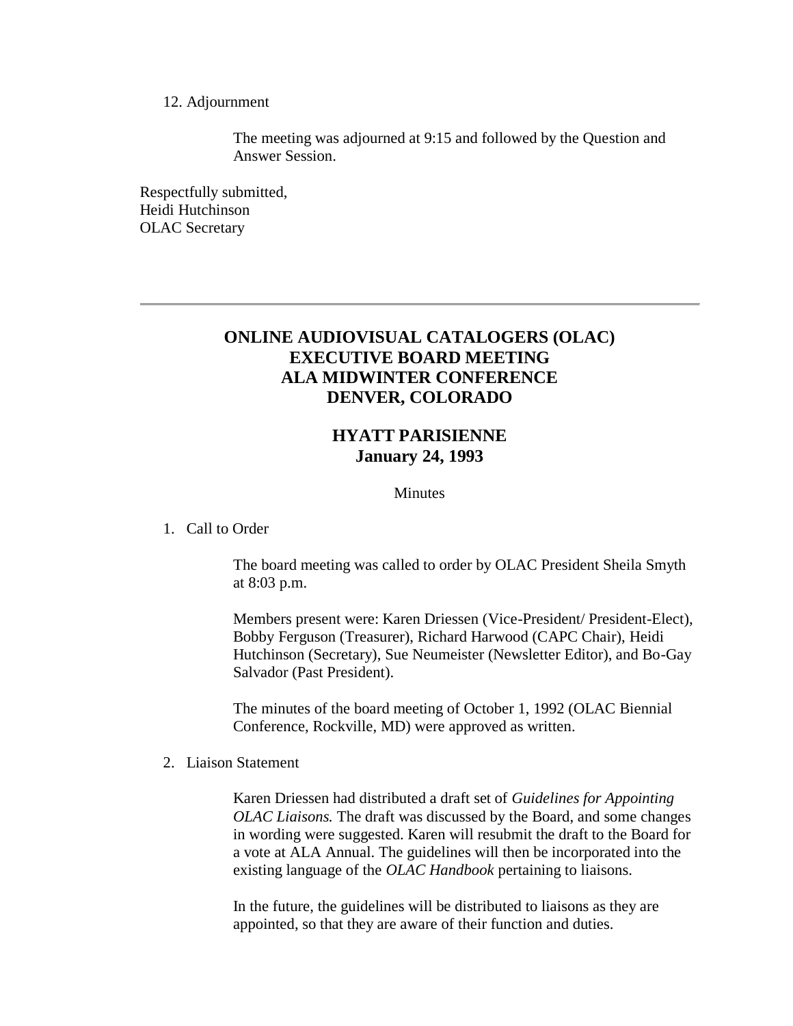#### 12. Adjournment

The meeting was adjourned at 9:15 and followed by the Question and Answer Session.

Respectfully submitted, Heidi Hutchinson OLAC Secretary

### **ONLINE AUDIOVISUAL CATALOGERS (OLAC) EXECUTIVE BOARD MEETING ALA MIDWINTER CONFERENCE DENVER, COLORADO**

# **HYATT PARISIENNE January 24, 1993**

#### **Minutes**

#### 1. Call to Order

The board meeting was called to order by OLAC President Sheila Smyth at 8:03 p.m.

Members present were: Karen Driessen (Vice-President/ President-Elect), Bobby Ferguson (Treasurer), Richard Harwood (CAPC Chair), Heidi Hutchinson (Secretary), Sue Neumeister (Newsletter Editor), and Bo-Gay Salvador (Past President).

The minutes of the board meeting of October 1, 1992 (OLAC Biennial Conference, Rockville, MD) were approved as written.

#### 2. Liaison Statement

Karen Driessen had distributed a draft set of *Guidelines for Appointing OLAC Liaisons.* The draft was discussed by the Board, and some changes in wording were suggested. Karen will resubmit the draft to the Board for a vote at ALA Annual. The guidelines will then be incorporated into the existing language of the *OLAC Handbook* pertaining to liaisons.

In the future, the guidelines will be distributed to liaisons as they are appointed, so that they are aware of their function and duties.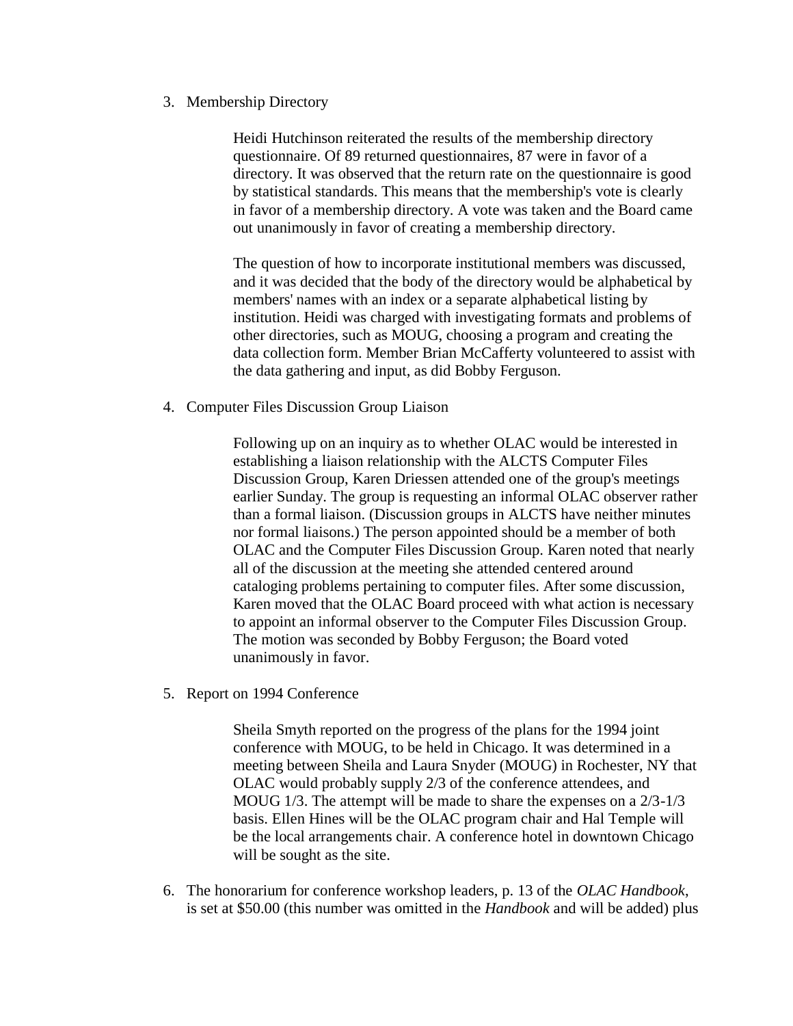3. Membership Directory

Heidi Hutchinson reiterated the results of the membership directory questionnaire. Of 89 returned questionnaires, 87 were in favor of a directory. It was observed that the return rate on the questionnaire is good by statistical standards. This means that the membership's vote is clearly in favor of a membership directory. A vote was taken and the Board came out unanimously in favor of creating a membership directory.

The question of how to incorporate institutional members was discussed, and it was decided that the body of the directory would be alphabetical by members' names with an index or a separate alphabetical listing by institution. Heidi was charged with investigating formats and problems of other directories, such as MOUG, choosing a program and creating the data collection form. Member Brian McCafferty volunteered to assist with the data gathering and input, as did Bobby Ferguson.

4. Computer Files Discussion Group Liaison

Following up on an inquiry as to whether OLAC would be interested in establishing a liaison relationship with the ALCTS Computer Files Discussion Group, Karen Driessen attended one of the group's meetings earlier Sunday. The group is requesting an informal OLAC observer rather than a formal liaison. (Discussion groups in ALCTS have neither minutes nor formal liaisons.) The person appointed should be a member of both OLAC and the Computer Files Discussion Group. Karen noted that nearly all of the discussion at the meeting she attended centered around cataloging problems pertaining to computer files. After some discussion, Karen moved that the OLAC Board proceed with what action is necessary to appoint an informal observer to the Computer Files Discussion Group. The motion was seconded by Bobby Ferguson; the Board voted unanimously in favor.

5. Report on 1994 Conference

Sheila Smyth reported on the progress of the plans for the 1994 joint conference with MOUG, to be held in Chicago. It was determined in a meeting between Sheila and Laura Snyder (MOUG) in Rochester, NY that OLAC would probably supply 2/3 of the conference attendees, and MOUG 1/3. The attempt will be made to share the expenses on a 2/3-1/3 basis. Ellen Hines will be the OLAC program chair and Hal Temple will be the local arrangements chair. A conference hotel in downtown Chicago will be sought as the site.

6. The honorarium for conference workshop leaders, p. 13 of the *OLAC Handbook*, is set at \$50.00 (this number was omitted in the *Handbook* and will be added) plus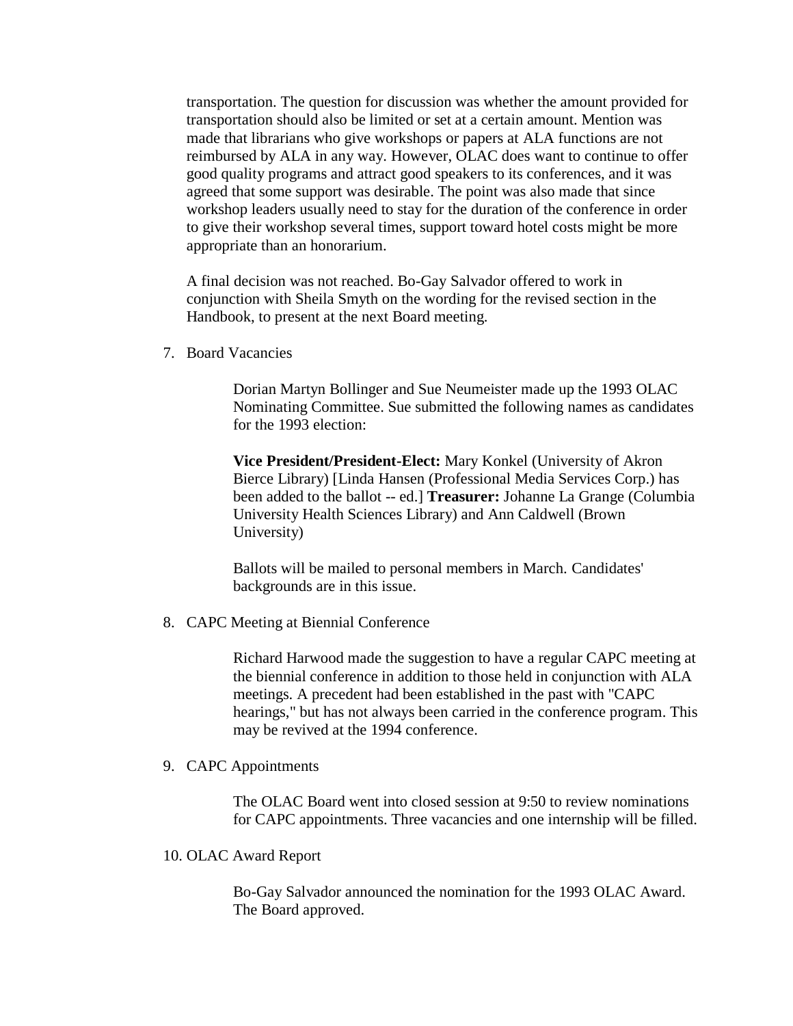transportation. The question for discussion was whether the amount provided for transportation should also be limited or set at a certain amount. Mention was made that librarians who give workshops or papers at ALA functions are not reimbursed by ALA in any way. However, OLAC does want to continue to offer good quality programs and attract good speakers to its conferences, and it was agreed that some support was desirable. The point was also made that since workshop leaders usually need to stay for the duration of the conference in order to give their workshop several times, support toward hotel costs might be more appropriate than an honorarium.

A final decision was not reached. Bo-Gay Salvador offered to work in conjunction with Sheila Smyth on the wording for the revised section in the Handbook, to present at the next Board meeting.

7. Board Vacancies

Dorian Martyn Bollinger and Sue Neumeister made up the 1993 OLAC Nominating Committee. Sue submitted the following names as candidates for the 1993 election:

**Vice President/President-Elect:** Mary Konkel (University of Akron Bierce Library) [Linda Hansen (Professional Media Services Corp.) has been added to the ballot -- ed.] **Treasurer:** Johanne La Grange (Columbia University Health Sciences Library) and Ann Caldwell (Brown University)

Ballots will be mailed to personal members in March. [Candidates'](http://ublib.buffalo.edu/libraries/units/cts/olac/newsletters/march93.html#candidates)  [backgrounds](http://ublib.buffalo.edu/libraries/units/cts/olac/newsletters/march93.html#candidates) are in this issue.

8. CAPC Meeting at Biennial Conference

Richard Harwood made the suggestion to have a regular CAPC meeting at the biennial conference in addition to those held in conjunction with ALA meetings. A precedent had been established in the past with "CAPC hearings," but has not always been carried in the conference program. This may be revived at the 1994 conference.

9. CAPC Appointments

The OLAC Board went into closed session at 9:50 to review nominations for CAPC appointments. Three vacancies and one internship will be filled.

10. OLAC Award Report

Bo-Gay Salvador announced the nomination for the 1993 OLAC Award. The Board approved.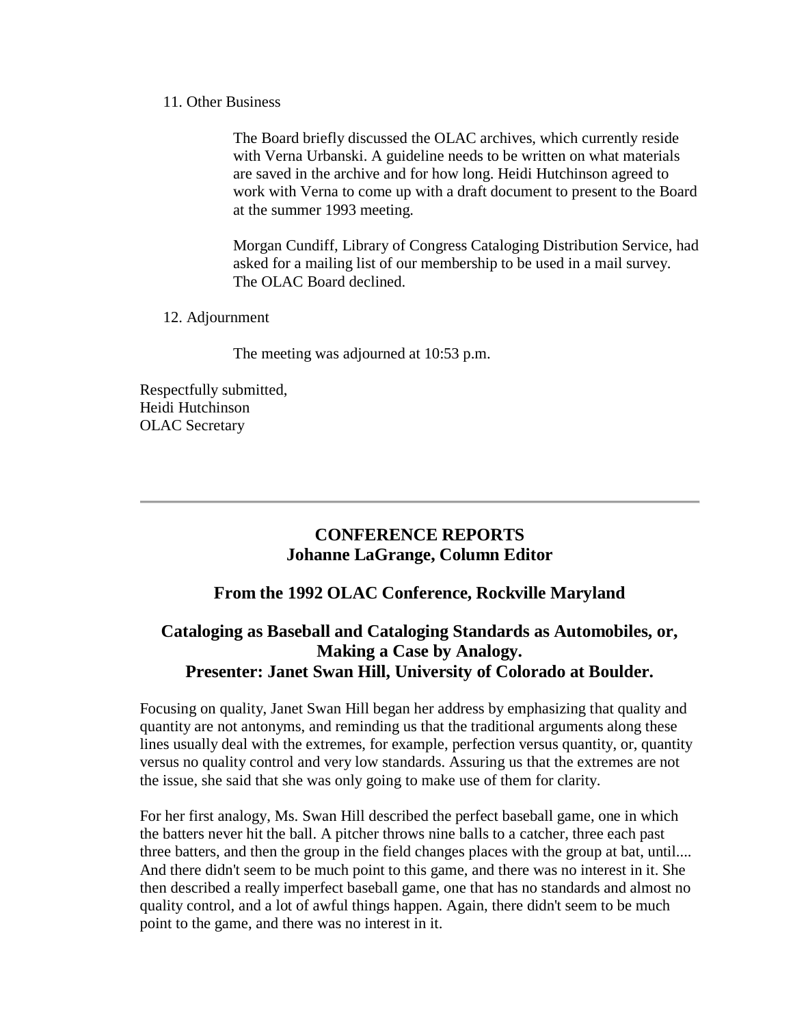#### 11. Other Business

The Board briefly discussed the OLAC archives, which currently reside with Verna Urbanski. A guideline needs to be written on what materials are saved in the archive and for how long. Heidi Hutchinson agreed to work with Verna to come up with a draft document to present to the Board at the summer 1993 meeting.

Morgan Cundiff, Library of Congress Cataloging Distribution Service, had asked for a mailing list of our membership to be used in a mail survey. The OLAC Board declined.

#### 12. Adjournment

The meeting was adjourned at 10:53 p.m.

Respectfully submitted, Heidi Hutchinson OLAC Secretary

# **CONFERENCE REPORTS Johanne LaGrange, Column Editor**

### **From the 1992 OLAC Conference, Rockville Maryland**

# **Cataloging as Baseball and Cataloging Standards as Automobiles, or, Making a Case by Analogy. Presenter: Janet Swan Hill, University of Colorado at Boulder.**

Focusing on quality, Janet Swan Hill began her address by emphasizing that quality and quantity are not antonyms, and reminding us that the traditional arguments along these lines usually deal with the extremes, for example, perfection versus quantity, or, quantity versus no quality control and very low standards. Assuring us that the extremes are not the issue, she said that she was only going to make use of them for clarity.

For her first analogy, Ms. Swan Hill described the perfect baseball game, one in which the batters never hit the ball. A pitcher throws nine balls to a catcher, three each past three batters, and then the group in the field changes places with the group at bat, until.... And there didn't seem to be much point to this game, and there was no interest in it. She then described a really imperfect baseball game, one that has no standards and almost no quality control, and a lot of awful things happen. Again, there didn't seem to be much point to the game, and there was no interest in it.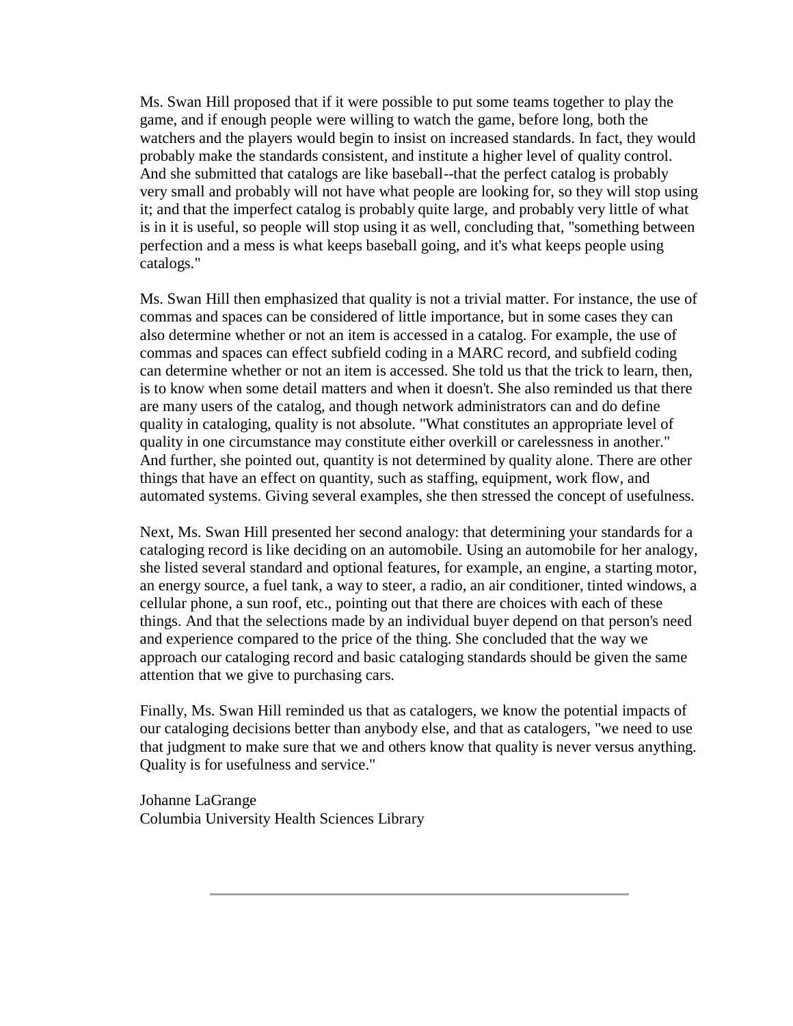Ms. Swan Hill proposed that if it were possible to put some teams together to play the game, and if enough people were willing to watch the game, before long, both the watchers and the players would begin to insist on increased standards. In fact, they would probably make the standards consistent, and institute a higher level of quality control. And she submitted that catalogs are like baseball--that the perfect catalog is probably very small and probably will not have what people are looking for, so they will stop using it; and that the imperfect catalog is probably quite large, and probably very little of what is in it is useful, so people will stop using it as well, concluding that, "something between perfection and a mess is what keeps baseball going, and it's what keeps people using catalogs."

Ms. Swan Hill then emphasized that quality is not a trivial matter. For instance, the use of commas and spaces can be considered of little importance, but in some cases they can also determine whether or not an item is accessed in a catalog. For example, the use of commas and spaces can effect subfield coding in a MARC record, and subfield coding can determine whether or not an item is accessed. She told us that the trick to learn, then, is to know when some detail matters and when it doesn't. She also reminded us that there are many users of the catalog, and though network administrators can and do define quality in cataloging, quality is not absolute. "What constitutes an appropriate level of quality in one circumstance may constitute either overkill or carelessness in another." And further, she pointed out, quantity is not determined by quality alone. There are other things that have an effect on quantity, such as staffing, equipment, work flow, and automated systems. Giving several examples, she then stressed the concept of usefulness.

Next, Ms. Swan Hill presented her second analogy: that determining your standards for a cataloging record is like deciding on an automobile. Using an automobile for her analogy, she listed several standard and optional features, for example, an engine, a starting motor, an energy source, a fuel tank, a way to steer, a radio, an air conditioner, tinted windows, a cellular phone, a sun roof, etc., pointing out that there are choices with each of these things. And that the selections made by an individual buyer depend on that person's need and experience compared to the price of the thing. She concluded that the way we approach our cataloging record and basic cataloging standards should be given the same attention that we give to purchasing cars.

Finally, Ms. Swan Hill reminded us that as catalogers, we know the potential impacts of our cataloging decisions better than anybody else, and that as catalogers, "we need to use that judgment to make sure that we and others know that quality is never versus anything. Quality is for usefulness and service."

Johanne LaGrange Columbia University Health Sciences Library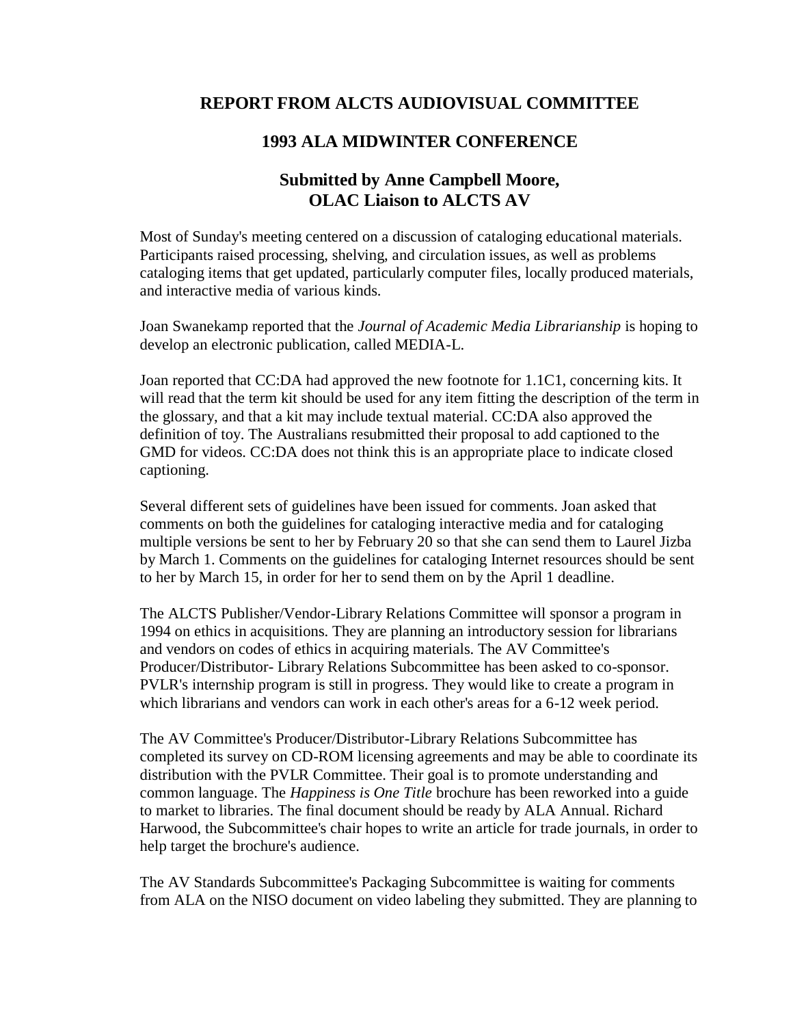### **REPORT FROM ALCTS AUDIOVISUAL COMMITTEE**

#### **1993 ALA MIDWINTER CONFERENCE**

### **Submitted by Anne Campbell Moore, OLAC Liaison to ALCTS AV**

Most of Sunday's meeting centered on a discussion of cataloging educational materials. Participants raised processing, shelving, and circulation issues, as well as problems cataloging items that get updated, particularly computer files, locally produced materials, and interactive media of various kinds.

Joan Swanekamp reported that the *Journal of Academic Media Librarianship* is hoping to develop an electronic publication, called MEDIA-L.

Joan reported that CC:DA had approved the new footnote for 1.1C1, concerning kits. It will read that the term kit should be used for any item fitting the description of the term in the glossary, and that a kit may include textual material. CC:DA also approved the definition of toy. The Australians resubmitted their proposal to add captioned to the GMD for videos. CC:DA does not think this is an appropriate place to indicate closed captioning.

Several different sets of guidelines have been issued for comments. Joan asked that comments on both the guidelines for cataloging interactive media and for cataloging multiple versions be sent to her by February 20 so that she can send them to Laurel Jizba by March 1. Comments on the guidelines for cataloging Internet resources should be sent to her by March 15, in order for her to send them on by the April 1 deadline.

The ALCTS Publisher/Vendor-Library Relations Committee will sponsor a program in 1994 on ethics in acquisitions. They are planning an introductory session for librarians and vendors on codes of ethics in acquiring materials. The AV Committee's Producer/Distributor- Library Relations Subcommittee has been asked to co-sponsor. PVLR's internship program is still in progress. They would like to create a program in which librarians and vendors can work in each other's areas for a 6-12 week period.

The AV Committee's Producer/Distributor-Library Relations Subcommittee has completed its survey on CD-ROM licensing agreements and may be able to coordinate its distribution with the PVLR Committee. Their goal is to promote understanding and common language. The *Happiness is One Title* brochure has been reworked into a guide to market to libraries. The final document should be ready by ALA Annual. Richard Harwood, the Subcommittee's chair hopes to write an article for trade journals, in order to help target the brochure's audience.

The AV Standards Subcommittee's Packaging Subcommittee is waiting for comments from ALA on the NISO document on video labeling they submitted. They are planning to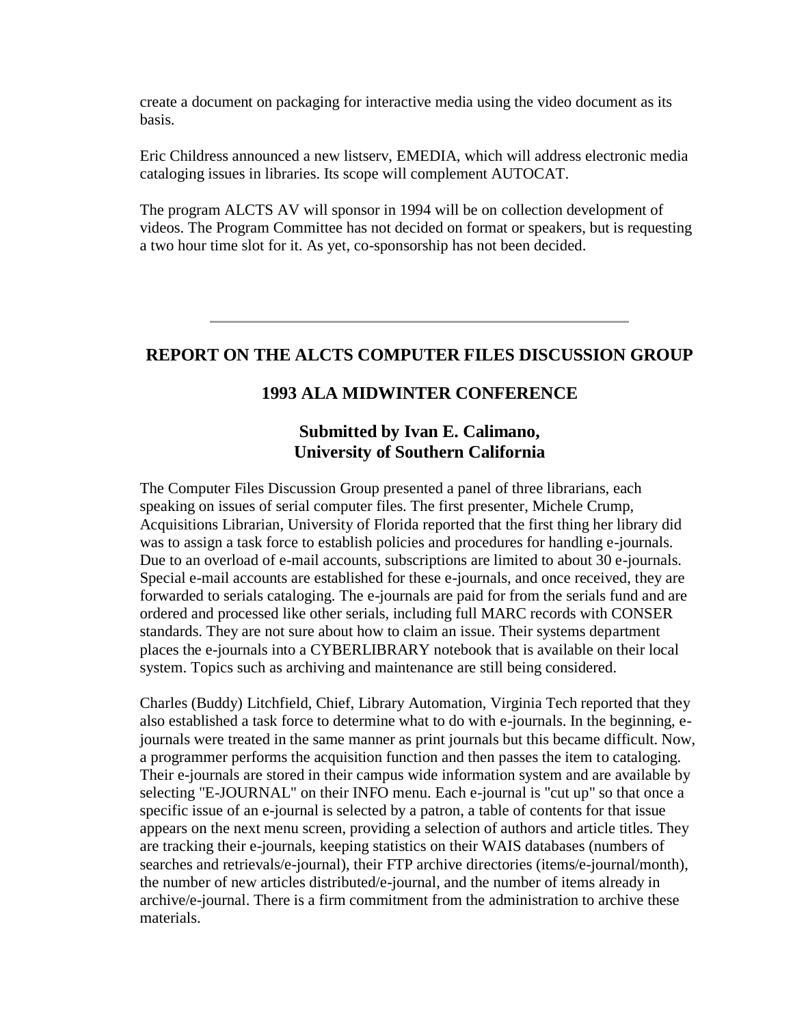create a document on packaging for interactive media using the video document as its basis.

Eric Childress announced a new listserv, [EMEDIA,](http://ublib.buffalo.edu/libraries/units/cts/olac/newsletters/march93.html#emedia) which will address electronic media cataloging issues in libraries. Its scope will complement AUTOCAT.

The program ALCTS AV will sponsor in 1994 will be on collection development of videos. The Program Committee has not decided on format or speakers, but is requesting a two hour time slot for it. As yet, co-sponsorship has not been decided.

### **REPORT ON THE ALCTS COMPUTER FILES DISCUSSION GROUP**

#### **1993 ALA MIDWINTER CONFERENCE**

#### **Submitted by Ivan E. Calimano, University of Southern California**

The Computer Files Discussion Group presented a panel of three librarians, each speaking on issues of serial computer files. The first presenter, Michele Crump, Acquisitions Librarian, University of Florida reported that the first thing her library did was to assign a task force to establish policies and procedures for handling e-journals. Due to an overload of e-mail accounts, subscriptions are limited to about 30 e-journals. Special e-mail accounts are established for these e-journals, and once received, they are forwarded to serials cataloging. The e-journals are paid for from the serials fund and are ordered and processed like other serials, including full MARC records with CONSER standards. They are not sure about how to claim an issue. Their systems department places the e-journals into a CYBERLIBRARY notebook that is available on their local system. Topics such as archiving and maintenance are still being considered.

Charles (Buddy) Litchfield, Chief, Library Automation, Virginia Tech reported that they also established a task force to determine what to do with e-journals. In the beginning, ejournals were treated in the same manner as print journals but this became difficult. Now, a programmer performs the acquisition function and then passes the item to cataloging. Their e-journals are stored in their campus wide information system and are available by selecting "E-JOURNAL" on their INFO menu. Each e-journal is "cut up" so that once a specific issue of an e-journal is selected by a patron, a table of contents for that issue appears on the next menu screen, providing a selection of authors and article titles. They are tracking their e-journals, keeping statistics on their WAIS databases (numbers of searches and retrievals/e-journal), their FTP archive directories (items/e-journal/month), the number of new articles distributed/e-journal, and the number of items already in archive/e-journal. There is a firm commitment from the administration to archive these materials.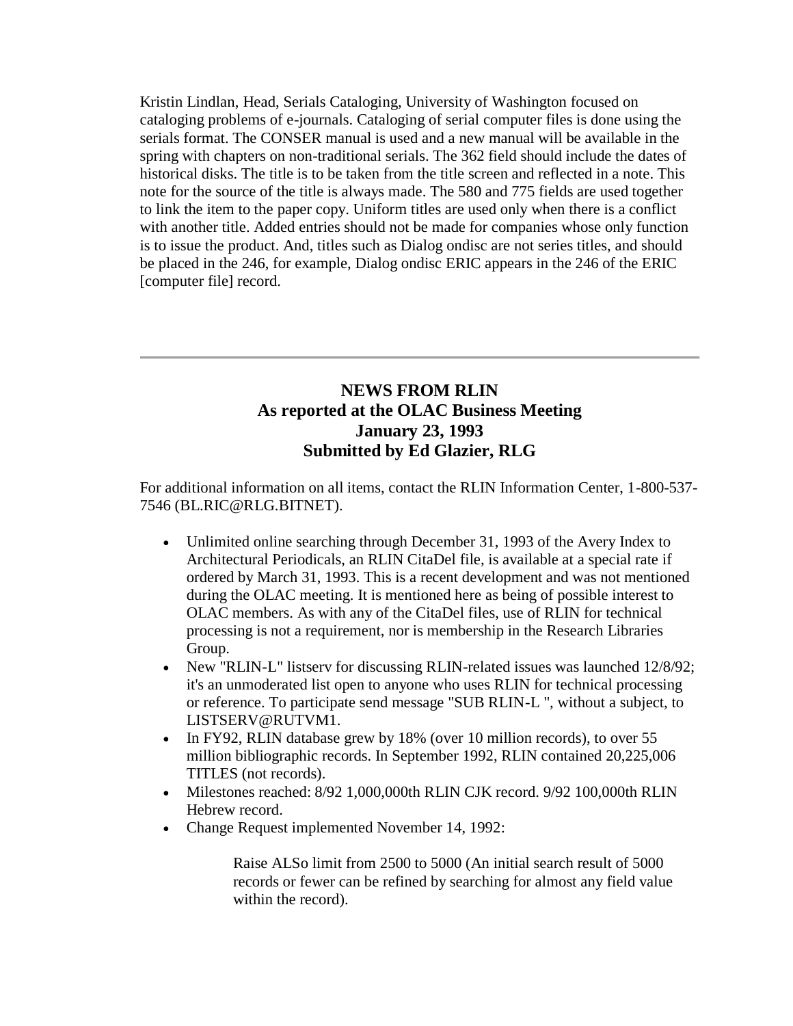Kristin Lindlan, Head, Serials Cataloging, University of Washington focused on cataloging problems of e-journals. Cataloging of serial computer files is done using the serials format. The CONSER manual is used and a new manual will be available in the spring with chapters on non-traditional serials. The 362 field should include the dates of historical disks. The title is to be taken from the title screen and reflected in a note. This note for the source of the title is always made. The 580 and 775 fields are used together to link the item to the paper copy. Uniform titles are used only when there is a conflict with another title. Added entries should not be made for companies whose only function is to issue the product. And, titles such as Dialog ondisc are not series titles, and should be placed in the 246, for example, Dialog ondisc ERIC appears in the 246 of the ERIC [computer file] record.

## **NEWS FROM RLIN As reported at the OLAC Business Meeting January 23, 1993 Submitted by Ed Glazier, RLG**

For additional information on all items, contact the RLIN Information Center, 1-800-537- 7546 (BL.RIC@RLG.BITNET).

- Unlimited online searching through December 31, 1993 of the Avery Index to Architectural Periodicals, an RLIN CitaDel file, is available at a special rate if ordered by March 31, 1993. This is a recent development and was not mentioned during the OLAC meeting. It is mentioned here as being of possible interest to OLAC members. As with any of the CitaDel files, use of RLIN for technical processing is not a requirement, nor is membership in the Research Libraries Group.
- New "RLIN-L" listserv for discussing RLIN-related issues was launched 12/8/92; it's an unmoderated list open to anyone who uses RLIN for technical processing or reference. To participate send message "SUB RLIN-L ", without a subject, to LISTSERV@RUTVM1.
- In FY92, RLIN database grew by 18% (over 10 million records), to over 55 million bibliographic records. In September 1992, RLIN contained 20,225,006 TITLES (not records).
- Milestones reached: 8/92 1,000,000th RLIN CJK record. 9/92 100,000th RLIN Hebrew record.
- Change Request implemented November 14, 1992:

Raise ALSo limit from 2500 to 5000 (An initial search result of 5000 records or fewer can be refined by searching for almost any field value within the record).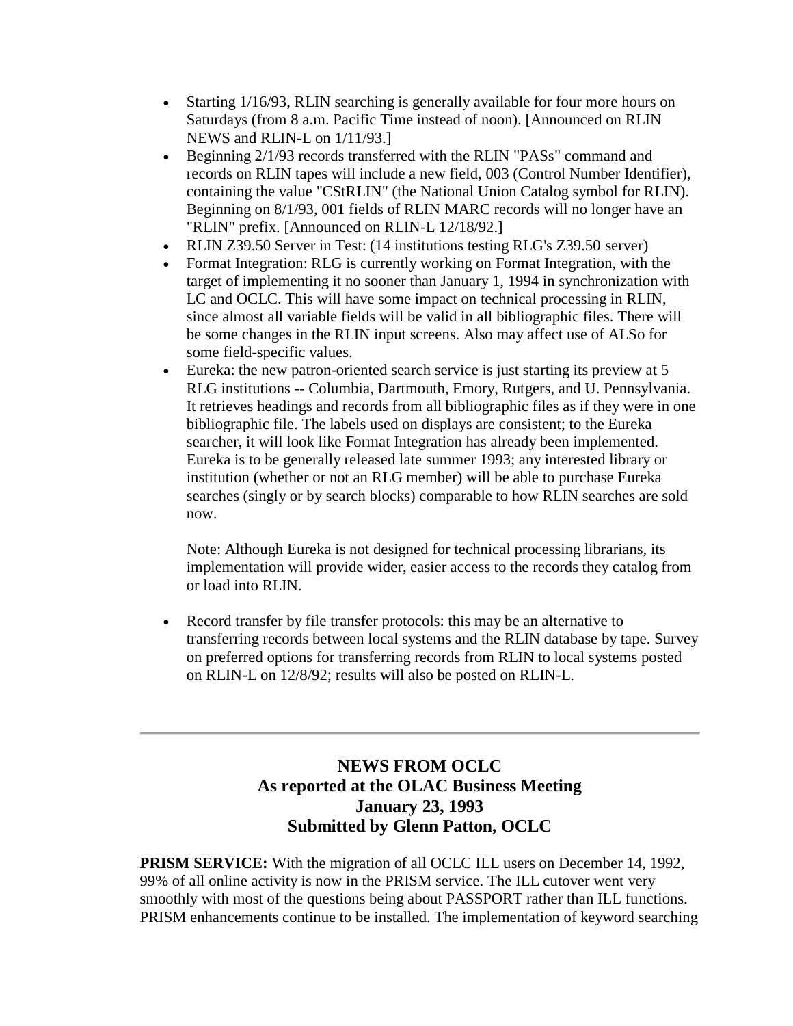- Starting 1/16/93, RLIN searching is generally available for four more hours on Saturdays (from 8 a.m. Pacific Time instead of noon). [Announced on RLIN NEWS and RLIN-L on 1/11/93.]
- Beginning 2/1/93 records transferred with the RLIN "PASs" command and records on RLIN tapes will include a new field, 003 (Control Number Identifier), containing the value "CStRLIN" (the National Union Catalog symbol for RLIN). Beginning on 8/1/93, 001 fields of RLIN MARC records will no longer have an "RLIN" prefix. [Announced on RLIN-L 12/18/92.]
- RLIN Z39.50 Server in Test: (14 institutions testing RLG's Z39.50 server)
- Format Integration: RLG is currently working on Format Integration, with the target of implementing it no sooner than January 1, 1994 in synchronization with LC and OCLC. This will have some impact on technical processing in RLIN, since almost all variable fields will be valid in all bibliographic files. There will be some changes in the RLIN input screens. Also may affect use of ALSo for some field-specific values.
- Eureka: the new patron-oriented search service is just starting its preview at 5 RLG institutions -- Columbia, Dartmouth, Emory, Rutgers, and U. Pennsylvania. It retrieves headings and records from all bibliographic files as if they were in one bibliographic file. The labels used on displays are consistent; to the Eureka searcher, it will look like Format Integration has already been implemented. Eureka is to be generally released late summer 1993; any interested library or institution (whether or not an RLG member) will be able to purchase Eureka searches (singly or by search blocks) comparable to how RLIN searches are sold now.

Note: Although Eureka is not designed for technical processing librarians, its implementation will provide wider, easier access to the records they catalog from or load into RLIN.

 Record transfer by file transfer protocols: this may be an alternative to transferring records between local systems and the RLIN database by tape. Survey on preferred options for transferring records from RLIN to local systems posted on RLIN-L on 12/8/92; results will also be posted on RLIN-L.

# **NEWS FROM OCLC As reported at the OLAC Business Meeting January 23, 1993 Submitted by Glenn Patton, OCLC**

**PRISM SERVICE:** With the migration of all OCLC ILL users on December 14, 1992, 99% of all online activity is now in the PRISM service. The ILL cutover went very smoothly with most of the questions being about PASSPORT rather than ILL functions. PRISM enhancements continue to be installed. The implementation of keyword searching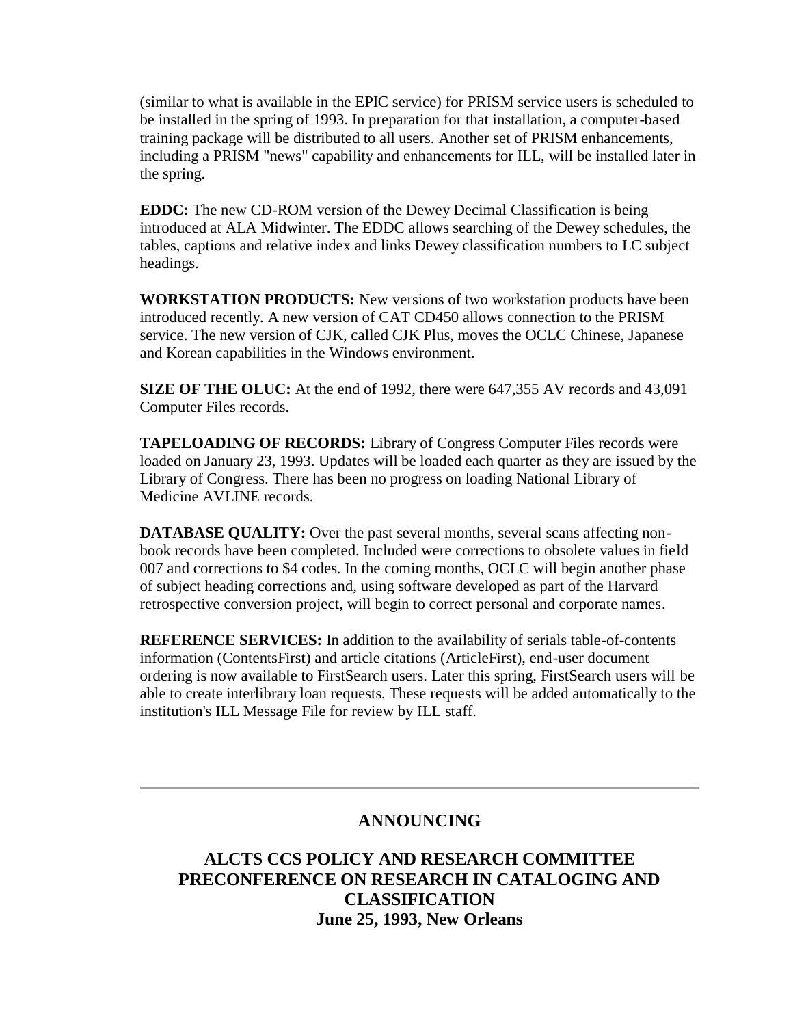(similar to what is available in the EPIC service) for PRISM service users is scheduled to be installed in the spring of 1993. In preparation for that installation, a computer-based training package will be distributed to all users. Another set of PRISM enhancements, including a PRISM "news" capability and enhancements for ILL, will be installed later in the spring.

**EDDC:** The new CD-ROM version of the Dewey Decimal Classification is being introduced at ALA Midwinter. The EDDC allows searching of the Dewey schedules, the tables, captions and relative index and links Dewey classification numbers to LC subject headings.

**WORKSTATION PRODUCTS:** New versions of two workstation products have been introduced recently. A new version of CAT CD450 allows connection to the PRISM service. The new version of CJK, called CJK Plus, moves the OCLC Chinese, Japanese and Korean capabilities in the Windows environment.

**SIZE OF THE OLUC:** At the end of 1992, there were 647,355 AV records and 43,091 Computer Files records.

**TAPELOADING OF RECORDS:** Library of Congress Computer Files records were loaded on January 23, 1993. Updates will be loaded each quarter as they are issued by the Library of Congress. There has been no progress on loading National Library of Medicine AVLINE records.

**DATABASE QUALITY:** Over the past several months, several scans affecting nonbook records have been completed. Included were corrections to obsolete values in field 007 and corrections to \$4 codes. In the coming months, OCLC will begin another phase of subject heading corrections and, using software developed as part of the Harvard retrospective conversion project, will begin to correct personal and corporate names.

**REFERENCE SERVICES:** In addition to the availability of serials table-of-contents information (ContentsFirst) and article citations (ArticleFirst), end-user document ordering is now available to FirstSearch users. Later this spring, FirstSearch users will be able to create interlibrary loan requests. These requests will be added automatically to the institution's ILL Message File for review by ILL staff.

### **ANNOUNCING**

**ALCTS CCS POLICY AND RESEARCH COMMITTEE PRECONFERENCE ON RESEARCH IN CATALOGING AND CLASSIFICATION June 25, 1993, New Orleans**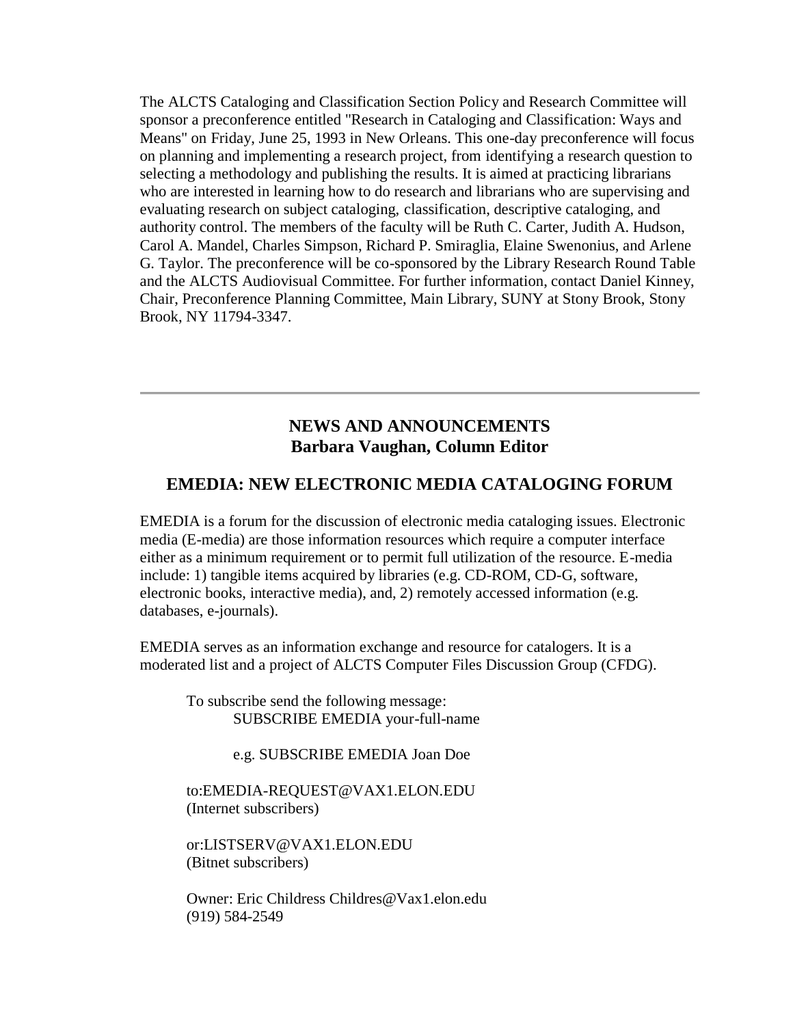The ALCTS Cataloging and Classification Section Policy and Research Committee will sponsor a preconference entitled "Research in Cataloging and Classification: Ways and Means" on Friday, June 25, 1993 in New Orleans. This one-day preconference will focus on planning and implementing a research project, from identifying a research question to selecting a methodology and publishing the results. It is aimed at practicing librarians who are interested in learning how to do research and librarians who are supervising and evaluating research on subject cataloging, classification, descriptive cataloging, and authority control. The members of the faculty will be Ruth C. Carter, Judith A. Hudson, Carol A. Mandel, Charles Simpson, Richard P. Smiraglia, Elaine Swenonius, and Arlene G. Taylor. The preconference will be co-sponsored by the Library Research Round Table and the ALCTS Audiovisual Committee. For further information, contact Daniel Kinney, Chair, Preconference Planning Committee, Main Library, SUNY at Stony Brook, Stony Brook, NY 11794-3347.

#### **NEWS AND ANNOUNCEMENTS Barbara Vaughan, Column Editor**

#### **EMEDIA: NEW ELECTRONIC MEDIA CATALOGING FORUM**

EMEDIA is a forum for the discussion of electronic media cataloging issues. Electronic media (E-media) are those information resources which require a computer interface either as a minimum requirement or to permit full utilization of the resource. E-media include: 1) tangible items acquired by libraries (e.g. CD-ROM, CD-G, software, electronic books, interactive media), and, 2) remotely accessed information (e.g. databases, e-journals).

EMEDIA serves as an information exchange and resource for catalogers. It is a moderated list and a project of ALCTS Computer Files Discussion Group (CFDG).

To subscribe send the following message: SUBSCRIBE EMEDIA your-full-name

e.g. SUBSCRIBE EMEDIA Joan Doe

to[:EMEDIA-REQUEST@VAX1.ELON.EDU](mailto:emedia-request@vax1.elon.edu) (Internet subscribers)

or[:LISTSERV@VAX1.ELON.EDU](mailto:listserv@vax1.elon.edu) (Bitnet subscribers)

Owner: Eric Childress [Childres@Vax1.elon.edu](mailto:childres@vax1.elon.edu) (919) 584-2549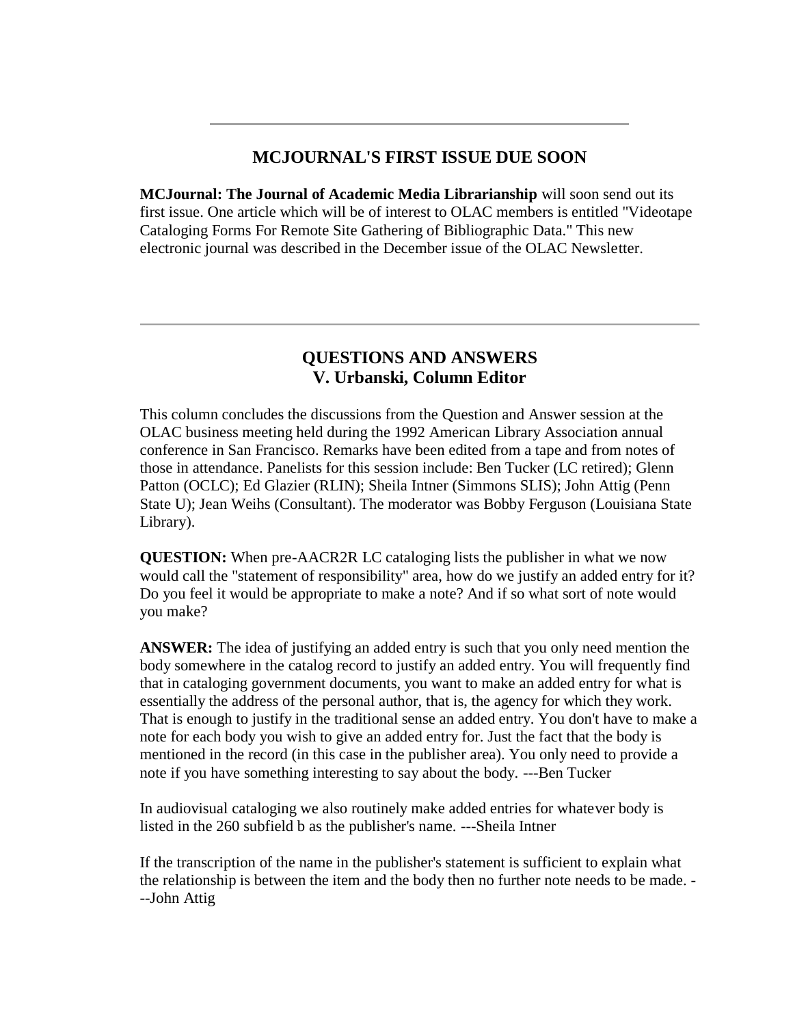### **MCJOURNAL'S FIRST ISSUE DUE SOON**

**MCJournal: The Journal of Academic Media Librarianship** will soon send out its first issue. One article which will be of interest to OLAC members is entitled "Videotape Cataloging Forms For Remote Site Gathering of Bibliographic Data." This new electronic journal was described in the December issue of the OLAC Newsletter.

### **QUESTIONS AND ANSWERS V. Urbanski, Column Editor**

This column concludes the discussions from the Question and Answer session at the OLAC business meeting held during the 1992 American Library Association annual conference in San Francisco. Remarks have been edited from a tape and from notes of those in attendance. Panelists for this session include: Ben Tucker (LC retired); Glenn Patton (OCLC); Ed Glazier (RLIN); Sheila Intner (Simmons SLIS); John Attig (Penn State U); Jean Weihs (Consultant). The moderator was Bobby Ferguson (Louisiana State Library).

**QUESTION:** When pre-AACR2R LC cataloging lists the publisher in what we now would call the "statement of responsibility" area, how do we justify an added entry for it? Do you feel it would be appropriate to make a note? And if so what sort of note would you make?

**ANSWER:** The idea of justifying an added entry is such that you only need mention the body somewhere in the catalog record to justify an added entry. You will frequently find that in cataloging government documents, you want to make an added entry for what is essentially the address of the personal author, that is, the agency for which they work. That is enough to justify in the traditional sense an added entry. You don't have to make a note for each body you wish to give an added entry for. Just the fact that the body is mentioned in the record (in this case in the publisher area). You only need to provide a note if you have something interesting to say about the body. ---Ben Tucker

In audiovisual cataloging we also routinely make added entries for whatever body is listed in the 260 subfield b as the publisher's name. ---Sheila Intner

If the transcription of the name in the publisher's statement is sufficient to explain what the relationship is between the item and the body then no further note needs to be made. - --John Attig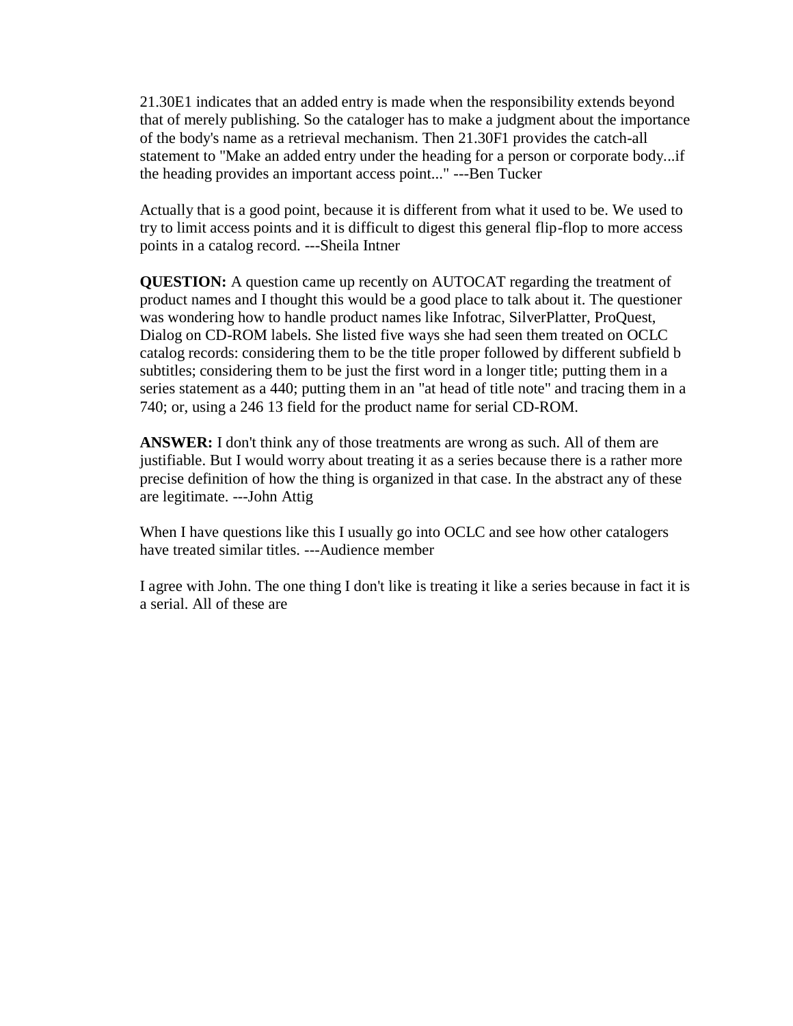21.30E1 indicates that an added entry is made when the responsibility extends beyond that of merely publishing. So the cataloger has to make a judgment about the importance of the body's name as a retrieval mechanism. Then 21.30F1 provides the catch-all statement to "Make an added entry under the heading for a person or corporate body...if the heading provides an important access point..." ---Ben Tucker

Actually that is a good point, because it is different from what it used to be. We used to try to limit access points and it is difficult to digest this general flip-flop to more access points in a catalog record. ---Sheila Intner

**QUESTION:** A question came up recently on AUTOCAT regarding the treatment of product names and I thought this would be a good place to talk about it. The questioner was wondering how to handle product names like Infotrac, SilverPlatter, ProQuest, Dialog on CD-ROM labels. She listed five ways she had seen them treated on OCLC catalog records: considering them to be the title proper followed by different subfield b subtitles; considering them to be just the first word in a longer title; putting them in a series statement as a 440; putting them in an "at head of title note" and tracing them in a 740; or, using a 246 13 field for the product name for serial CD-ROM.

**ANSWER:** I don't think any of those treatments are wrong as such. All of them are justifiable. But I would worry about treating it as a series because there is a rather more precise definition of how the thing is organized in that case. In the abstract any of these are legitimate. ---John Attig

When I have questions like this I usually go into OCLC and see how other catalogers have treated similar titles. ---Audience member

I agree with John. The one thing I don't like is treating it like a series because in fact it is a serial. All of these are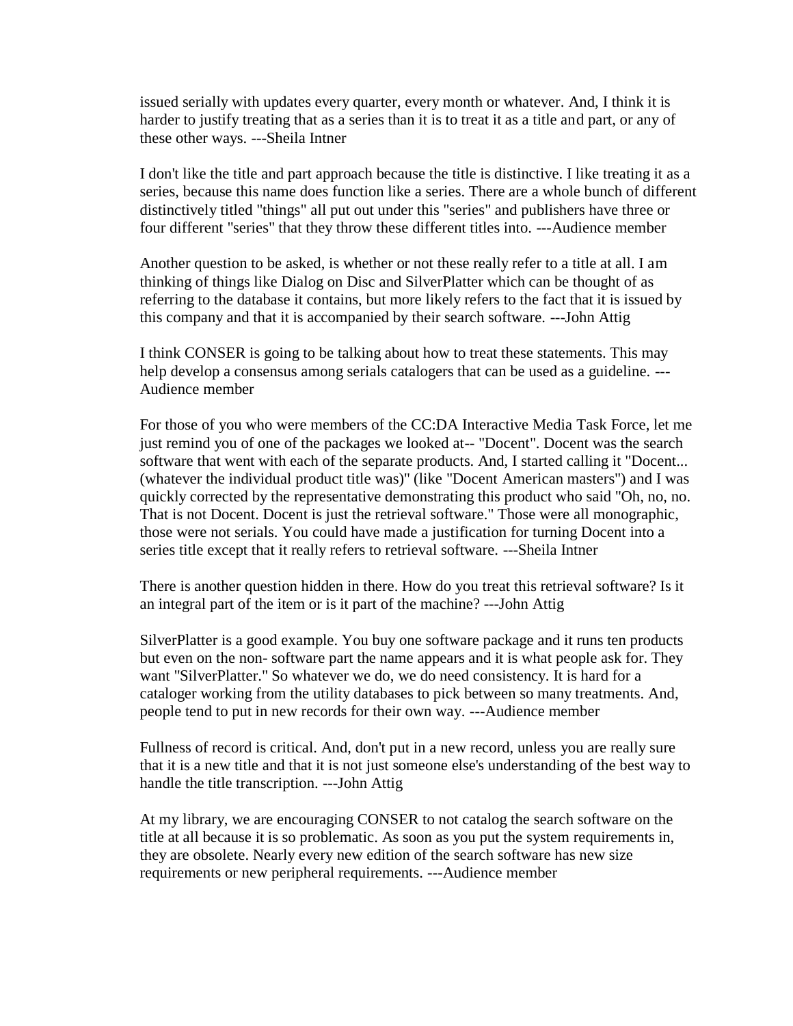issued serially with updates every quarter, every month or whatever. And, I think it is harder to justify treating that as a series than it is to treat it as a title and part, or any of these other ways. ---Sheila Intner

I don't like the title and part approach because the title is distinctive. I like treating it as a series, because this name does function like a series. There are a whole bunch of different distinctively titled "things" all put out under this "series" and publishers have three or four different "series" that they throw these different titles into. ---Audience member

Another question to be asked, is whether or not these really refer to a title at all. I am thinking of things like Dialog on Disc and SilverPlatter which can be thought of as referring to the database it contains, but more likely refers to the fact that it is issued by this company and that it is accompanied by their search software. ---John Attig

I think CONSER is going to be talking about how to treat these statements. This may help develop a consensus among serials catalogers that can be used as a guideline. --- Audience member

For those of you who were members of the CC:DA Interactive Media Task Force, let me just remind you of one of the packages we looked at-- "Docent". Docent was the search software that went with each of the separate products. And, I started calling it "Docent... (whatever the individual product title was)" (like "Docent American masters") and I was quickly corrected by the representative demonstrating this product who said "Oh, no, no. That is not Docent. Docent is just the retrieval software." Those were all monographic, those were not serials. You could have made a justification for turning Docent into a series title except that it really refers to retrieval software. ---Sheila Intner

There is another question hidden in there. How do you treat this retrieval software? Is it an integral part of the item or is it part of the machine? ---John Attig

SilverPlatter is a good example. You buy one software package and it runs ten products but even on the non- software part the name appears and it is what people ask for. They want "SilverPlatter." So whatever we do, we do need consistency. It is hard for a cataloger working from the utility databases to pick between so many treatments. And, people tend to put in new records for their own way. ---Audience member

Fullness of record is critical. And, don't put in a new record, unless you are really sure that it is a new title and that it is not just someone else's understanding of the best way to handle the title transcription. ---John Attig

At my library, we are encouraging CONSER to not catalog the search software on the title at all because it is so problematic. As soon as you put the system requirements in, they are obsolete. Nearly every new edition of the search software has new size requirements or new peripheral requirements. ---Audience member